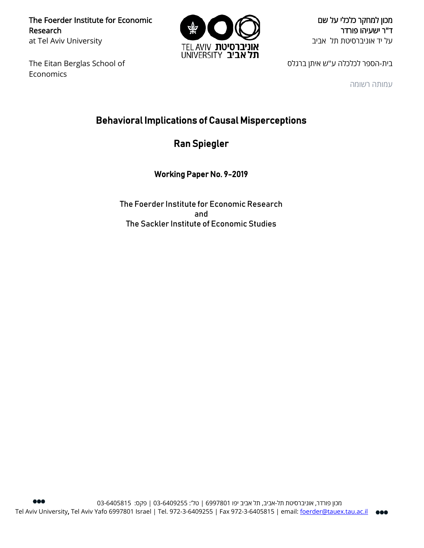The Foerder Institute for Economic Research at Tel Aviv University

The Eitan Berglas School of Economics



מכון למחקר כלכלי על שם ד"ר ישעיהו פורדר על יד אוניברסיטת תל אביב

בית-הספר לכלכלה ע"ש איתן ברגלס

עמותה רשומה

# Behavioral Implications of Causal Misperceptions

Ran Spiegler

Working Paper No. 9-2019

The Foerder Institute for Economic Research and The Sackler Institute of Economic Studies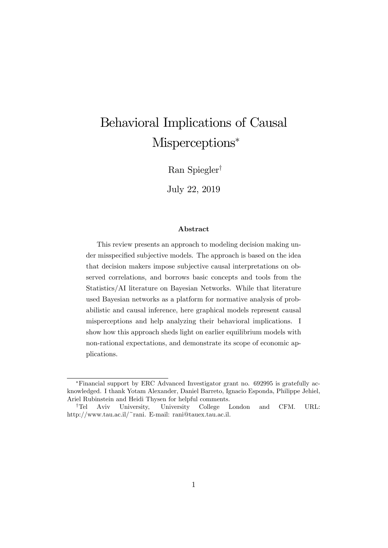# Behavioral Implications of Causal Misperceptions<sup>\*</sup>

Ran Spiegler<sup>†</sup>

July 22, 2019

#### Abstract

This review presents an approach to modeling decision making under misspecified subjective models. The approach is based on the idea that decision makers impose subjective causal interpretations on observed correlations, and borrows basic concepts and tools from the Statistics/AI literature on Bayesian Networks. While that literature used Bayesian networks as a platform for normative analysis of probabilistic and causal inference, here graphical models represent causal misperceptions and help analyzing their behavioral implications. I show how this approach sheds light on earlier equilibrium models with non-rational expectations, and demonstrate its scope of economic applications.

Financial support by ERC Advanced Investigator grant no. 692995 is gratefully acknowledged. I thank Yotam Alexander, Daniel Barreto, Ignacio Esponda, Philippe Jehiel, Ariel Rubinstein and Heidi Thysen for helpful comments.

<sup>&</sup>lt;sup>†</sup>Tel Aviv University, University College London and CFM. URL: http://www.tau.ac.il/~rani. E-mail: rani@tauex.tau.ac.il.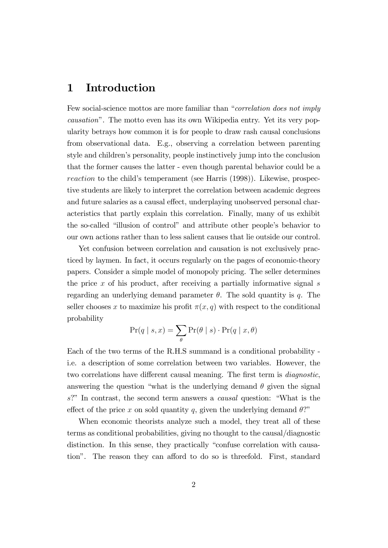# 1 Introduction

Few social-science mottos are more familiar than "correlation does not imply causationî. The motto even has its own Wikipedia entry. Yet its very popularity betrays how common it is for people to draw rash causal conclusions from observational data. E.g., observing a correlation between parenting style and childrenís personality, people instinctively jump into the conclusion that the former causes the latter - even though parental behavior could be a reaction to the child's temperament (see Harris (1998)). Likewise, prospective students are likely to interpret the correlation between academic degrees and future salaries as a causal effect, underplaying unobserved personal characteristics that partly explain this correlation. Finally, many of us exhibit the so-called "illusion of control" and attribute other people's behavior to our own actions rather than to less salient causes that lie outside our control.

Yet confusion between correlation and causation is not exclusively practiced by laymen. In fact, it occurs regularly on the pages of economic-theory papers. Consider a simple model of monopoly pricing. The seller determines the price  $x$  of his product, after receiving a partially informative signal  $s$ regarding an underlying demand parameter  $\theta$ . The sold quantity is q. The seller chooses x to maximize his profit  $\pi(x, q)$  with respect to the conditional probability

$$
Pr(q | s, x) = \sum_{\theta} Pr(\theta | s) \cdot Pr(q | x, \theta)
$$

Each of the two terms of the R.H.S summand is a conditional probability i.e. a description of some correlation between two variables. However, the two correlations have different causal meaning. The first term is *diagnostic*, answering the question "what is the underlying demand  $\theta$  given the signal  $s$ ?" In contrast, the second term answers a *causal* question: "What is the effect of the price x on sold quantity q, given the underlying demand  $\theta$ ?"

When economic theorists analyze such a model, they treat all of these terms as conditional probabilities, giving no thought to the causal/diagnostic distinction. In this sense, they practically "confuse correlation with causation". The reason they can afford to do so is threefold. First, standard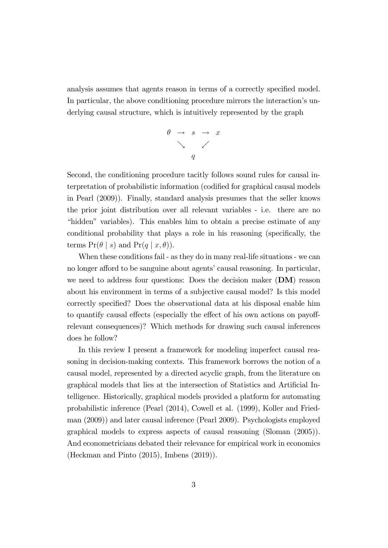analysis assumes that agents reason in terms of a correctly specified model. In particular, the above conditioning procedure mirrors the interaction's underlying causal structure, which is intuitively represented by the graph

$$
\begin{array}{rcl}\n\theta & \rightarrow & s & \rightarrow & x \\
& \searrow & & \swarrow \\
& & q\n\end{array}
$$

Second, the conditioning procedure tacitly follows sound rules for causal interpretation of probabilistic information (codified for graphical causal models in Pearl (2009)). Finally, standard analysis presumes that the seller knows the prior joint distribution over all relevant variables - i.e. there are no "hidden" variables). This enables him to obtain a precise estimate of any conditional probability that plays a role in his reasoning (specifically, the terms  $Pr(\theta | s)$  and  $Pr(q | x, \theta)$ .

When these conditions fail - as they do in many real-life situations - we can no longer afford to be sanguine about agents' causal reasoning. In particular, we need to address four questions: Does the decision maker  $(DM)$  reason about his environment in terms of a subjective causal model? Is this model correctly specified? Does the observational data at his disposal enable him to quantify causal effects (especially the effect of his own actions on payoffrelevant consequences)? Which methods for drawing such causal inferences does he follow?

In this review I present a framework for modeling imperfect causal reasoning in decision-making contexts. This framework borrows the notion of a causal model, represented by a directed acyclic graph, from the literature on graphical models that lies at the intersection of Statistics and Artificial Intelligence. Historically, graphical models provided a platform for automating probabilistic inference (Pearl (2014), Cowell et al. (1999), Koller and Friedman (2009)) and later causal inference (Pearl 2009). Psychologists employed graphical models to express aspects of causal reasoning (Sloman (2005)). And econometricians debated their relevance for empirical work in economics (Heckman and Pinto (2015), Imbens (2019)).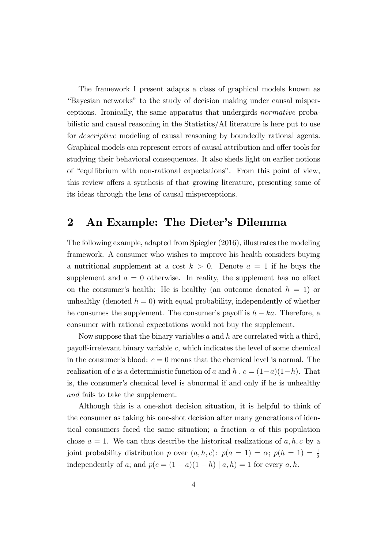The framework I present adapts a class of graphical models known as ìBayesian networksî to the study of decision making under causal misperceptions. Ironically, the same apparatus that undergirds normative probabilistic and causal reasoning in the Statistics/AI literature is here put to use for descriptive modeling of causal reasoning by boundedly rational agents. Graphical models can represent errors of causal attribution and offer tools for studying their behavioral consequences. It also sheds light on earlier notions of "equilibrium with non-rational expectations". From this point of view, this review offers a synthesis of that growing literature, presenting some of its ideas through the lens of causal misperceptions.

# 2 An Example: The Dieter's Dilemma

The following example, adapted from Spiegler (2016), illustrates the modeling framework. A consumer who wishes to improve his health considers buying a nutritional supplement at a cost  $k > 0$ . Denote  $a = 1$  if he buys the supplement and  $a = 0$  otherwise. In reality, the supplement has no effect on the consumer's health: He is healthy (an outcome denoted  $h = 1$ ) or unhealthy (denoted  $h = 0$ ) with equal probability, independently of whether he consumes the supplement. The consumer's payoff is  $h - ka$ . Therefore, a consumer with rational expectations would not buy the supplement.

Now suppose that the binary variables  $a$  and  $h$  are correlated with a third, payoff-irrelevant binary variable  $c$ , which indicates the level of some chemical in the consumer's blood:  $c = 0$  means that the chemical level is normal. The realization of c is a deterministic function of a and h,  $c = (1-a)(1-h)$ . That is, the consumer's chemical level is abnormal if and only if he is unhealthy and fails to take the supplement.

Although this is a one-shot decision situation, it is helpful to think of the consumer as taking his one-shot decision after many generations of identical consumers faced the same situation; a fraction  $\alpha$  of this population chose  $a = 1$ . We can thus describe the historical realizations of  $a, h, c$  by a joint probability distribution p over  $(a, h, c)$ :  $p(a = 1) = \alpha$ ;  $p(h = 1) = \frac{1}{2}$ independently of a; and  $p(c = (1 - a)(1 - h) | a, h) = 1$  for every a, h.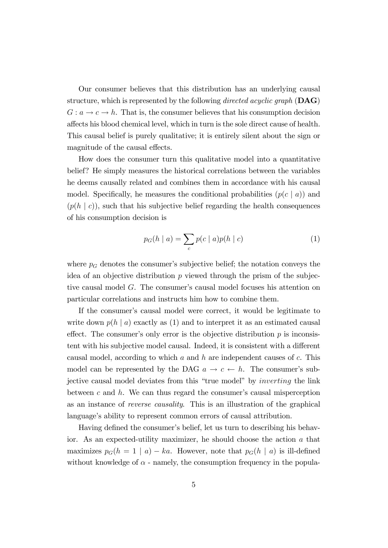Our consumer believes that this distribution has an underlying causal structure, which is represented by the following *directed acyclic graph* ( $\mathbf{DAG}$ )  $G: a \to c \to h$ . That is, the consumer believes that his consumption decision affects his blood chemical level, which in turn is the sole direct cause of health. This causal belief is purely qualitative; it is entirely silent about the sign or magnitude of the causal effects.

How does the consumer turn this qualitative model into a quantitative belief? He simply measures the historical correlations between the variables he deems causally related and combines them in accordance with his causal model. Specifically, he measures the conditional probabilities  $(p(c \mid a))$  and  $(p(h \mid c))$ , such that his subjective belief regarding the health consequences of his consumption decision is

$$
p_G(h \mid a) = \sum_c p(c \mid a)p(h \mid c) \tag{1}
$$

where  $p_G$  denotes the consumer's subjective belief; the notation conveys the idea of an objective distribution  $p$  viewed through the prism of the subjective causal model  $G$ . The consumer's causal model focuses his attention on particular correlations and instructs him how to combine them.

If the consumer's causal model were correct, it would be legitimate to write down  $p(h \mid a)$  exactly as (1) and to interpret it as an estimated causal effect. The consumer's only error is the objective distribution  $p$  is inconsistent with his subjective model causal. Indeed, it is consistent with a different causal model, according to which  $a$  and  $h$  are independent causes of  $c$ . This model can be represented by the DAG  $a \to c \leftarrow h$ . The consumer's subjective causal model deviates from this "true model" by *inverting* the link between c and  $h$ . We can thus regard the consumer's causal misperception as an instance of reverse causality. This is an illustration of the graphical language's ability to represent common errors of causal attribution.

Having defined the consumer's belief, let us turn to describing his behavior. As an expected-utility maximizer, he should choose the action a that maximizes  $p_G(h = 1 | a) - ka$ . However, note that  $p_G(h | a)$  is ill-defined without knowledge of  $\alpha$  - namely, the consumption frequency in the popula-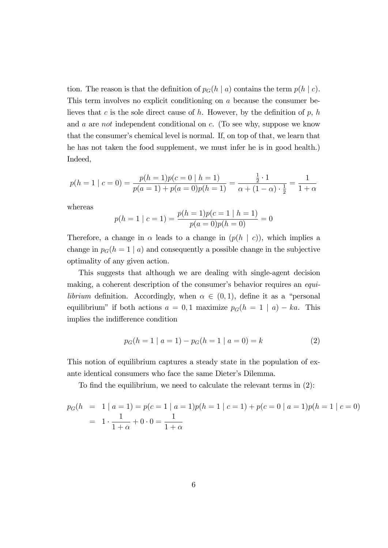tion. The reason is that the definition of  $p_G(h \mid a)$  contains the term  $p(h \mid c)$ . This term involves no explicit conditioning on a because the consumer believes that c is the sole direct cause of h. However, by the definition of p, h and a are not independent conditional on c. (To see why, suppose we know that the consumer's chemical level is normal. If, on top of that, we learn that he has not taken the food supplement, we must infer he is in good health.) Indeed,

$$
p(h = 1 | c = 0) = \frac{p(h = 1)p(c = 0 | h = 1)}{p(a = 1) + p(a = 0)p(h = 1)} = \frac{\frac{1}{2} \cdot 1}{\alpha + (1 - \alpha) \cdot \frac{1}{2}} = \frac{1}{1 + \alpha}
$$

whereas

$$
p(h = 1 | c = 1) = \frac{p(h = 1)p(c = 1 | h = 1)}{p(a = 0)p(h = 0)} = 0
$$

Therefore, a change in  $\alpha$  leads to a change in  $(p(h \mid c))$ , which implies a change in  $p_G(h = 1 | a)$  and consequently a possible change in the subjective optimality of any given action.

This suggests that although we are dealing with single-agent decision making, a coherent description of the consumer's behavior requires an *equilibrium* definition. Accordingly, when  $\alpha \in (0,1)$ , define it as a "personal equilibrium" if both actions  $a = 0, 1$  maximize  $p_G(h = 1 | a) - ka$ . This implies the indifference condition

$$
p_G(h = 1 | a = 1) - p_G(h = 1 | a = 0) = k \tag{2}
$$

This notion of equilibrium captures a steady state in the population of exante identical consumers who face the same Dieter's Dilemma.

To find the equilibrium, we need to calculate the relevant terms in  $(2)$ :

$$
p_G(h = 1 | a = 1) = p(c = 1 | a = 1)p(h = 1 | c = 1) + p(c = 0 | a = 1)p(h = 1 | c = 0)
$$
  
=  $1 \cdot \frac{1}{1 + \alpha} + 0 \cdot 0 = \frac{1}{1 + \alpha}$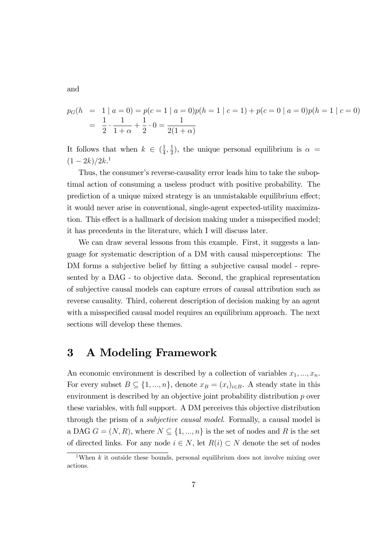and

$$
p_G(h = 1 | a = 0) = p(c = 1 | a = 0)p(h = 1 | c = 1) + p(c = 0 | a = 0)p(h = 1 | c = 0)
$$
  
= 
$$
\frac{1}{2} \cdot \frac{1}{1 + \alpha} + \frac{1}{2} \cdot 0 = \frac{1}{2(1 + \alpha)}
$$

It follows that when  $k \in \left(\frac{1}{4}\right)$  $\frac{1}{4}, \frac{1}{2}$  $(\frac{1}{2})$ , the unique personal equilibrium is  $\alpha =$  $(1-2k)/2k$ <sup>1</sup>

Thus, the consumer's reverse-causality error leads him to take the suboptimal action of consuming a useless product with positive probability. The prediction of a unique mixed strategy is an unmistakable equilibrium effect; it would never arise in conventional, single-agent expected-utility maximization. This effect is a hallmark of decision making under a misspecified model; it has precedents in the literature, which I will discuss later.

We can draw several lessons from this example. First, it suggests a language for systematic description of a DM with causal misperceptions: The DM forms a subjective belief by fitting a subjective causal model - represented by a DAG - to objective data. Second, the graphical representation of subjective causal models can capture errors of causal attribution such as reverse causality. Third, coherent description of decision making by an agent with a misspecified causal model requires an equilibrium approach. The next sections will develop these themes.

# 3 A Modeling Framework

An economic environment is described by a collection of variables  $x_1, ..., x_n$ . For every subset  $B \subseteq \{1, ..., n\}$ , denote  $x_B = (x_i)_{i \in B}$ . A steady state in this environment is described by an objective joint probability distribution p over these variables, with full support. A DM perceives this objective distribution through the prism of a subjective causal model. Formally, a causal model is a DAG  $G = (N, R)$ , where  $N \subseteq \{1, ..., n\}$  is the set of nodes and R is the set of directed links. For any node  $i \in N$ , let  $R(i) \subset N$  denote the set of nodes

<sup>&</sup>lt;sup>1</sup>When k it outside these bounds, personal equilibrium does not involve mixing over actions.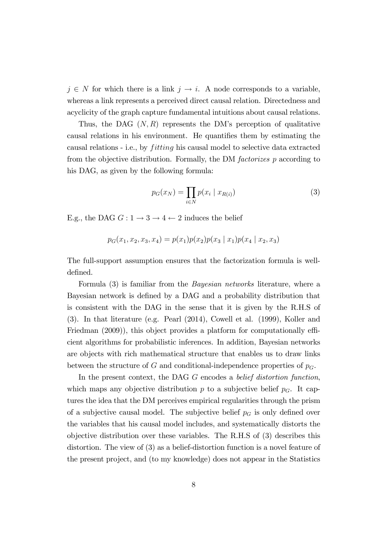$j \in N$  for which there is a link  $j \to i$ . A node corresponds to a variable, whereas a link represents a perceived direct causal relation. Directedness and acyclicity of the graph capture fundamental intuitions about causal relations.

Thus, the DAG  $(N, R)$  represents the DM's perception of qualitative causal relations in his environment. He quantifies them by estimating the causal relations - i.e., by *fitting* his causal model to selective data extracted from the objective distribution. Formally, the DM factorizes p according to his DAG, as given by the following formula:

$$
p_G(x_N) = \prod_{i \in N} p(x_i \mid x_{R(i)}) \tag{3}
$$

E.g., the DAG  $G: 1 \rightarrow 3 \rightarrow 4 \leftarrow 2$  induces the belief

$$
p_G(x_1, x_2, x_3, x_4) = p(x_1)p(x_2)p(x_3 | x_1)p(x_4 | x_2, x_3)
$$

The full-support assumption ensures that the factorization formula is welldefined.

Formula (3) is familiar from the Bayesian networks literature, where a Bayesian network is defined by a DAG and a probability distribution that is consistent with the DAG in the sense that it is given by the R.H.S of (3). In that literature (e.g. Pearl (2014), Cowell et al. (1999), Koller and Friedman  $(2009)$ , this object provides a platform for computationally efficient algorithms for probabilistic inferences. In addition, Bayesian networks are objects with rich mathematical structure that enables us to draw links between the structure of G and conditional-independence properties of  $p<sub>G</sub>$ .

In the present context, the DAG G encodes a *belief distortion function*, which maps any objective distribution  $p$  to a subjective belief  $p<sub>G</sub>$ . It captures the idea that the DM perceives empirical regularities through the prism of a subjective causal model. The subjective belief  $p<sub>G</sub>$  is only defined over the variables that his causal model includes, and systematically distorts the objective distribution over these variables. The R.H.S of (3) describes this distortion. The view of (3) as a belief-distortion function is a novel feature of the present project, and (to my knowledge) does not appear in the Statistics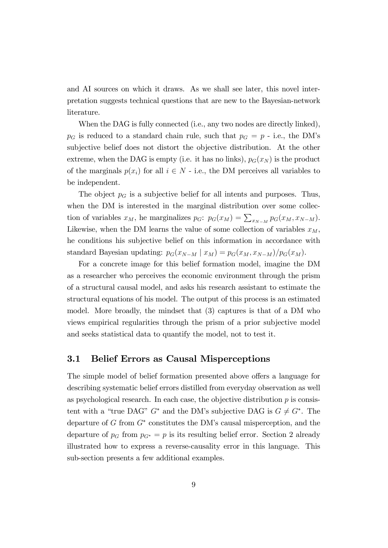and AI sources on which it draws. As we shall see later, this novel interpretation suggests technical questions that are new to the Bayesian-network literature.

When the DAG is fully connected (i.e., any two nodes are directly linked),  $p<sub>G</sub>$  is reduced to a standard chain rule, such that  $p<sub>G</sub> = p$  - i.e., the DM's subjective belief does not distort the objective distribution. At the other extreme, when the DAG is empty (i.e. it has no links),  $p_G(x_N)$  is the product of the marginals  $p(x_i)$  for all  $i \in N$  - i.e., the DM perceives all variables to be independent.

The object  $p<sub>G</sub>$  is a subjective belief for all intents and purposes. Thus, when the DM is interested in the marginal distribution over some collection of variables  $x_M$ , he marginalizes  $p_G: p_G(x_M) = \sum_{x_{N-M}} p_G(x_M, x_{N-M}).$ Likewise, when the DM learns the value of some collection of variables  $x_M$ , he conditions his subjective belief on this information in accordance with standard Bayesian updating:  $p_G(x_{N-M} | x_M) = p_G(x_M, x_{N-M})/p_G(x_M)$ .

For a concrete image for this belief formation model, imagine the DM as a researcher who perceives the economic environment through the prism of a structural causal model, and asks his research assistant to estimate the structural equations of his model. The output of this process is an estimated model. More broadly, the mindset that (3) captures is that of a DM who views empirical regularities through the prism of a prior subjective model and seeks statistical data to quantify the model, not to test it.

### 3.1 Belief Errors as Causal Misperceptions

The simple model of belief formation presented above offers a language for describing systematic belief errors distilled from everyday observation as well as psychological research. In each case, the objective distribution  $p$  is consistent with a "true DAG"  $G^*$  and the DM's subjective DAG is  $G \neq G^*$ . The departure of  $G$  from  $G^*$  constitutes the DM's causal misperception, and the departure of  $p_G$  from  $p_{G^*} = p$  is its resulting belief error. Section 2 already illustrated how to express a reverse-causality error in this language. This sub-section presents a few additional examples.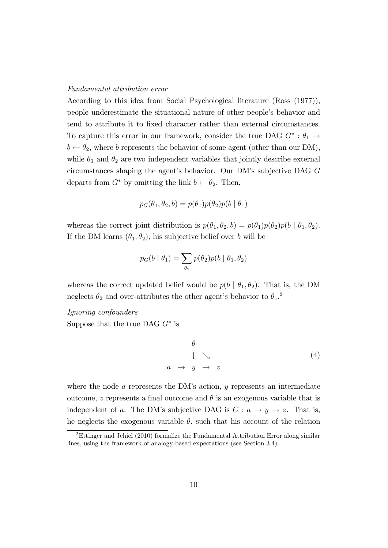#### Fundamental attribution error

According to this idea from Social Psychological literature (Ross (1977)), people underestimate the situational nature of other peopleís behavior and tend to attribute it to fixed character rather than external circumstances. To capture this error in our framework, consider the true DAG  $G^* : \theta_1 \rightarrow$  $b \leftarrow \theta_2$ , where b represents the behavior of some agent (other than our DM), while  $\theta_1$  and  $\theta_2$  are two independent variables that jointly describe external circumstances shaping the agent's behavior. Our DM's subjective DAG  $G$ departs from  $G^*$  by omitting the link  $b \leftarrow \theta_2$ . Then,

$$
p_G(\theta_1, \theta_2, b) = p(\theta_1)p(\theta_2)p(b \mid \theta_1)
$$

whereas the correct joint distribution is  $p(\theta_1, \theta_2, b) = p(\theta_1)p(\theta_2)p(b \mid \theta_1, \theta_2)$ . If the DM learns  $(\theta_1, \theta_2)$ , his subjective belief over b will be

$$
p_G(b \mid \theta_1) = \sum_{\theta_2} p(\theta_2) p(b \mid \theta_1, \theta_2)
$$

whereas the correct updated belief would be  $p(b | \theta_1, \theta_2)$ . That is, the DM neglects  $\theta_2$  and over-attributes the other agent's behavior to  $\theta_1$ <sup>2</sup>

#### Ignoring confounders

Suppose that the true DAG  $G^*$  is

$$
\begin{array}{ccc}\n\theta \\
\downarrow & \searrow \\
a & \to & y \to z\n\end{array} \tag{4}
$$

where the node  $\alpha$  represents the DM's action,  $\gamma$  represents an intermediate outcome, z represents a final outcome and  $\theta$  is an exogenous variable that is independent of a. The DM's subjective DAG is  $G: a \rightarrow y \rightarrow z$ . That is, he neglects the exogenous variable  $\theta$ , such that his account of the relation

<sup>2</sup>Ettinger and Jehiel (2010) formalize the Fundamental Attribution Error along similar lines, using the framework of analogy-based expectations (see Section 3.4).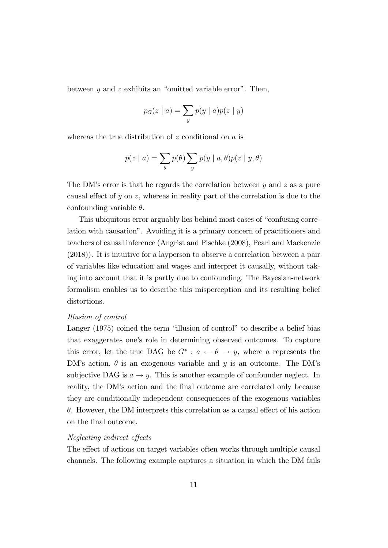between y and z exhibits an "omitted variable error". Then,

$$
p_G(z \mid a) = \sum_{y} p(y \mid a) p(z \mid y)
$$

whereas the true distribution of  $z$  conditional on  $a$  is

$$
p(z | a) = \sum_{\theta} p(\theta) \sum_{y} p(y | a, \theta) p(z | y, \theta)
$$

The DM's error is that he regards the correlation between  $y$  and  $z$  as a pure causal effect of y on z, whereas in reality part of the correlation is due to the confounding variable  $\theta$ .

This ubiquitous error arguably lies behind most cases of "confusing correlation with causationî. Avoiding it is a primary concern of practitioners and teachers of causal inference (Angrist and Pischke (2008), Pearl and Mackenzie (2018)). It is intuitive for a layperson to observe a correlation between a pair of variables like education and wages and interpret it causally, without taking into account that it is partly due to confounding. The Bayesian-network formalism enables us to describe this misperception and its resulting belief distortions.

#### Illusion of control

Langer  $(1975)$  coined the term "illusion of control" to describe a belief bias that exaggerates one's role in determining observed outcomes. To capture this error, let the true DAG be  $G^*$  :  $a \leftarrow \theta \rightarrow y$ , where a represents the DM's action,  $\theta$  is an exogenous variable and y is an outcome. The DM's subjective DAG is  $a \rightarrow y$ . This is another example of confounder neglect. In reality, the DM's action and the final outcome are correlated only because they are conditionally independent consequences of the exogenous variables  $\theta$ . However, the DM interprets this correlation as a causal effect of his action on the final outcome.

#### Neglecting indirect effects

The effect of actions on target variables often works through multiple causal channels. The following example captures a situation in which the DM fails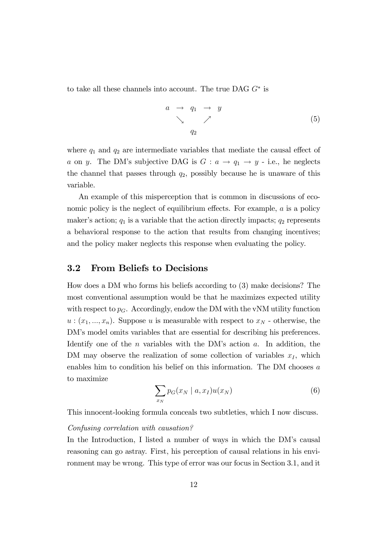to take all these channels into account. The true DAG  $G^*$  is

$$
\begin{array}{ccc}\n a & \rightarrow & q_1 \quad \rightarrow & y \\
 & \searrow & \nearrow & \\
 & q_2\n \end{array}\n \tag{5}
$$

where  $q_1$  and  $q_2$  are intermediate variables that mediate the causal effect of a on y. The DM's subjective DAG is  $G : a \rightarrow q_1 \rightarrow y$  - i.e., he neglects the channel that passes through  $q_2$ , possibly because he is unaware of this variable.

An example of this misperception that is common in discussions of economic policy is the neglect of equilibrium effects. For example,  $a$  is a policy maker's action;  $q_1$  is a variable that the action directly impacts;  $q_2$  represents a behavioral response to the action that results from changing incentives; and the policy maker neglects this response when evaluating the policy.

## 3.2 From Beliefs to Decisions

How does a DM who forms his beliefs according to (3) make decisions? The most conventional assumption would be that he maximizes expected utility with respect to  $p_G$ . Accordingly, endow the DM with the vNM utility function  $u:(x_1,...,x_n)$ . Suppose u is measurable with respect to  $x_N$  - otherwise, the DM's model omits variables that are essential for describing his preferences. Identify one of the  $n$  variables with the DM's action  $a$ . In addition, the DM may observe the realization of some collection of variables  $x_I$ , which enables him to condition his belief on this information. The DM chooses a to maximize

$$
\sum_{x_N} p_G(x_N \mid a, x_I) u(x_N) \tag{6}
$$

This innocent-looking formula conceals two subtleties, which I now discuss.

#### Confusing correlation with causation?

In the Introduction, I listed a number of ways in which the DM's causal reasoning can go astray. First, his perception of causal relations in his environment may be wrong. This type of error was our focus in Section 3.1, and it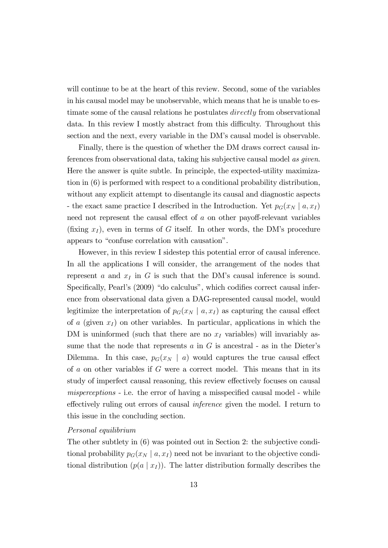will continue to be at the heart of this review. Second, some of the variables in his causal model may be unobservable, which means that he is unable to estimate some of the causal relations he postulates *directly* from observational data. In this review I mostly abstract from this difficulty. Throughout this section and the next, every variable in the DM's causal model is observable.

Finally, there is the question of whether the DM draws correct causal inferences from observational data, taking his subjective causal model as given. Here the answer is quite subtle. In principle, the expected-utility maximization in (6) is performed with respect to a conditional probability distribution, without any explicit attempt to disentangle its causal and diagnostic aspects - the exact same practice I described in the Introduction. Yet  $p_G(x_N | a, x_I)$ need not represent the causal effect of  $a$  on other payoff-relevant variables (fixing  $x_I$ ), even in terms of G itself. In other words, the DM's procedure appears to "confuse correlation with causation".

However, in this review I sidestep this potential error of causal inference. In all the applications I will consider, the arrangement of the nodes that represent a and  $x_I$  in G is such that the DM's causal inference is sound. Specifically, Pearl's (2009) "do calculus", which codifies correct causal inference from observational data given a DAG-represented causal model, would legitimize the interpretation of  $p_G(x_N \mid a, x_I)$  as capturing the causal effect of a (given  $x_I$ ) on other variables. In particular, applications in which the DM is uninformed (such that there are no  $x<sub>I</sub>$  variables) will invariably assume that the node that represents  $a$  in  $G$  is ancestral - as in the Dieter's Dilemma. In this case,  $p_G(x_N \mid a)$  would captures the true causal effect of  $a$  on other variables if  $G$  were a correct model. This means that in its study of imperfect causal reasoning, this review effectively focuses on causal  $misperceptions$  - i.e. the error of having a misspecified causal model - while effectively ruling out errors of causal *inference* given the model. I return to this issue in the concluding section.

#### Personal equilibrium

The other subtlety in (6) was pointed out in Section 2: the subjective conditional probability  $p_G(x_N | a, x_I)$  need not be invariant to the objective conditional distribution  $(p(a \mid x_I))$ . The latter distribution formally describes the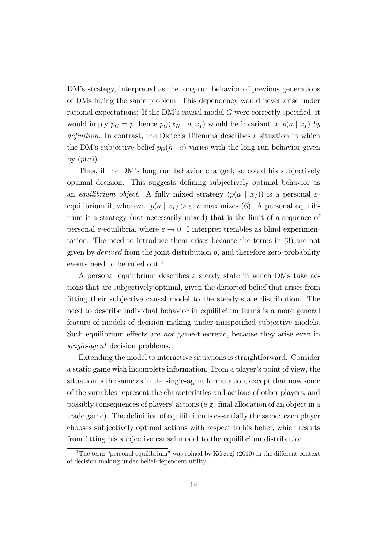DMís strategy, interpreted as the long-run behavior of previous generations of DMs facing the same problem. This dependency would never arise under rational expectations: If the DM's causal model  $G$  were correctly specified, it would imply  $p_G = p$ , hence  $p_G(x_N \mid a, x_I)$  would be invariant to  $p(a \mid x_I)$  by definition. In contrast, the Dieter's Dilemma describes a situation in which the DM's subjective belief  $p_G(h \mid a)$  varies with the long-run behavior given by  $(p(a))$ .

Thus, if the DMís long run behavior changed, so could his subjectively optimal decision. This suggests defining subjectively optimal behavior as an equilibrium object. A fully mixed strategy  $(p(a \mid x_I))$  is a personal  $\varepsilon$ equilibrium if, whenever  $p(a | x_I) > \varepsilon$ , a maximizes (6). A personal equilibrium is a strategy (not necessarily mixed) that is the limit of a sequence of personal  $\varepsilon$ -equilibria, where  $\varepsilon \to 0$ . I interpret trembles as blind experimentation. The need to introduce them arises because the terms in (3) are not given by *derived* from the joint distribution  $p$ , and therefore zero-probability events need to be ruled out.<sup>3</sup>

A personal equilibrium describes a steady state in which DMs take actions that are subjectively optimal, given the distorted belief that arises from fitting their subjective causal model to the steady-state distribution. The need to describe individual behavior in equilibrium terms is a more general feature of models of decision making under misspecified subjective models. Such equilibrium effects are *not* game-theoretic, because they arise even in single-agent decision problems.

Extending the model to interactive situations is straightforward. Consider a static game with incomplete information. From a player's point of view, the situation is the same as in the single-agent formulation, except that now some of the variables represent the characteristics and actions of other players, and possibly consequences of players' actions (e.g. final allocation of an object in a trade game). The definition of equilibrium is essentially the same: each player chooses subjectively optimal actions with respect to his belief, which results from fitting his subjective causal model to the equilibrium distribution.

 $3$ The term "personal equilibrium" was coined by Kőszegi (2010) in the different context of decision making under belief-dependent utility.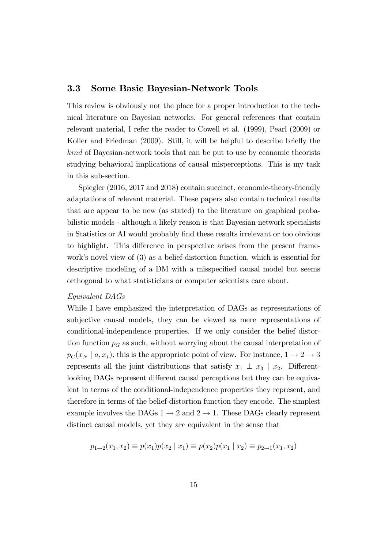## 3.3 Some Basic Bayesian-Network Tools

This review is obviously not the place for a proper introduction to the technical literature on Bayesian networks. For general references that contain relevant material, I refer the reader to Cowell et al. (1999), Pearl (2009) or Koller and Friedman (2009). Still, it will be helpful to describe briefly the kind of Bayesian-network tools that can be put to use by economic theorists studying behavioral implications of causal misperceptions. This is my task in this sub-section.

Spiegler (2016, 2017 and 2018) contain succinct, economic-theory-friendly adaptations of relevant material. These papers also contain technical results that are appear to be new (as stated) to the literature on graphical probabilistic models - although a likely reason is that Bayesian-network specialists in Statistics or AI would probably Önd these results irrelevant or too obvious to highlight. This difference in perspective arises from the present framework's novel view of  $(3)$  as a belief-distortion function, which is essential for descriptive modeling of a DM with a misspecified causal model but seems orthogonal to what statisticians or computer scientists care about.

#### Equivalent DAGs

While I have emphasized the interpretation of DAGs as representations of subjective causal models, they can be viewed as mere representations of conditional-independence properties. If we only consider the belief distortion function  $p<sub>G</sub>$  as such, without worrying about the causal interpretation of  $p_G(x_N \mid a, x_I)$ , this is the appropriate point of view. For instance,  $1 \rightarrow 2 \rightarrow 3$ represents all the joint distributions that satisfy  $x_1 \perp x_3 \mid x_2$ . Differentlooking DAGs represent different causal perceptions but they can be equivalent in terms of the conditional-independence properties they represent, and therefore in terms of the belief-distortion function they encode. The simplest example involves the DAGs  $1 \rightarrow 2$  and  $2 \rightarrow 1$ . These DAGs clearly represent distinct causal models, yet they are equivalent in the sense that

$$
p_{1\to 2}(x_1, x_2) \equiv p(x_1)p(x_2 \mid x_1) \equiv p(x_2)p(x_1 \mid x_2) \equiv p_{2\to 1}(x_1, x_2)
$$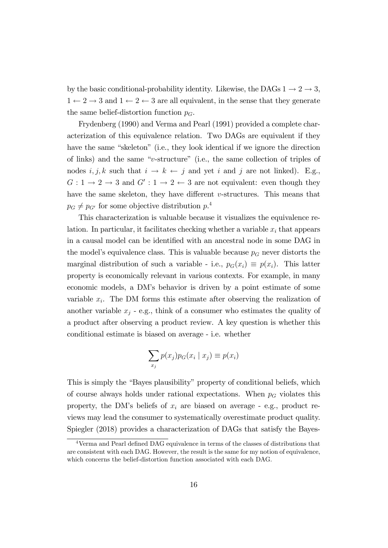by the basic conditional-probability identity. Likewise, the DAGs  $1 \rightarrow 2 \rightarrow 3$ ,  $1 \leftarrow 2 \rightarrow 3$  and  $1 \leftarrow 2 \leftarrow 3$  are all equivalent, in the sense that they generate the same belief-distortion function  $p_G$ .

Frydenberg (1990) and Verma and Pearl (1991) provided a complete characterization of this equivalence relation. Two DAGs are equivalent if they have the same "skeleton" (i.e., they look identical if we ignore the direction of links) and the same "v-structure" (i.e., the same collection of triples of nodes  $i, j, k$  such that  $i \to k \leftarrow j$  and yet i and j are not linked). E.g.,  $G: 1 \rightarrow 2 \rightarrow 3$  and  $G': 1 \rightarrow 2 \leftarrow 3$  are not equivalent: even though they have the same skeleton, they have different  $v$ -structures. This means that  $p_G \neq p_{G'}$  for some objective distribution  $p^A$ .

This characterization is valuable because it visualizes the equivalence relation. In particular, it facilitates checking whether a variable  $x_i$  that appears in a causal model can be identified with an ancestral node in some DAG in the model's equivalence class. This is valuable because  $p<sub>G</sub>$  never distorts the marginal distribution of such a variable - i.e.,  $p_G(x_i) \equiv p(x_i)$ . This latter property is economically relevant in various contexts. For example, in many economic models, a DMís behavior is driven by a point estimate of some variable  $x_i$ . The DM forms this estimate after observing the realization of another variable  $x_j$  - e.g., think of a consumer who estimates the quality of a product after observing a product review. A key question is whether this conditional estimate is biased on average - i.e. whether

$$
\sum_{x_j} p(x_j) p_G(x_i \mid x_j) \equiv p(x_i)
$$

This is simply the "Bayes plausibility" property of conditional beliefs, which of course always holds under rational expectations. When  $p<sub>G</sub>$  violates this property, the DM's beliefs of  $x_i$  are biased on average - e.g., product reviews may lead the consumer to systematically overestimate product quality. Spiegler (2018) provides a characterization of DAGs that satisfy the Bayes-

 $4$ Verma and Pearl defined DAG equivalence in terms of the classes of distributions that are consistent with each DAG. However, the result is the same for my notion of equivalence, which concerns the belief-distortion function associated with each DAG.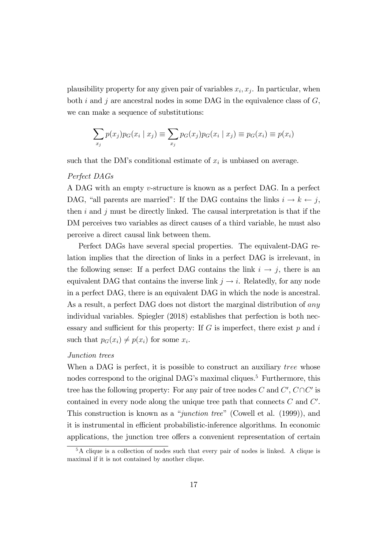plausibility property for any given pair of variables  $x_i, x_j$ . In particular, when both i and j are ancestral nodes in some DAG in the equivalence class of  $G$ , we can make a sequence of substitutions:

$$
\sum_{x_j} p(x_j) p_G(x_i \mid x_j) \equiv \sum_{x_j} p_G(x_j) p_G(x_i \mid x_j) \equiv p_G(x_i) \equiv p(x_i)
$$

such that the DM's conditional estimate of  $x_i$  is unbiased on average.

#### Perfect DAGs

A DAG with an empty v-structure is known as a perfect DAG. In a perfect DAG, "all parents are married": If the DAG contains the links  $i \to k \leftarrow j$ , then  $i$  and  $j$  must be directly linked. The causal interpretation is that if the DM perceives two variables as direct causes of a third variable, he must also perceive a direct causal link between them.

Perfect DAGs have several special properties. The equivalent-DAG relation implies that the direction of links in a perfect DAG is irrelevant, in the following sense: If a perfect DAG contains the link  $i \rightarrow j$ , there is an equivalent DAG that contains the inverse link  $j \rightarrow i$ . Relatedly, for any node in a perfect DAG, there is an equivalent DAG in which the node is ancestral. As a result, a perfect DAG does not distort the marginal distribution of any individual variables. Spiegler (2018) establishes that perfection is both necessary and sufficient for this property: If  $G$  is imperfect, there exist  $p$  and  $i$ such that  $p_G(x_i) \neq p(x_i)$  for some  $x_i$ .

#### Junction trees

When a DAG is perfect, it is possible to construct an auxiliary tree whose nodes correspond to the original DAG's maximal cliques.<sup>5</sup> Furthermore, this tree has the following property: For any pair of tree nodes C and  $C'$ ,  $C \cap C'$  is contained in every node along the unique tree path that connects  $C$  and  $C'$ . This construction is known as a "junction tree" (Cowell et al.  $(1999)$ ), and it is instrumental in efficient probabilistic-inference algorithms. In economic applications, the junction tree offers a convenient representation of certain

<sup>&</sup>lt;sup>5</sup>A clique is a collection of nodes such that every pair of nodes is linked. A clique is maximal if it is not contained by another clique.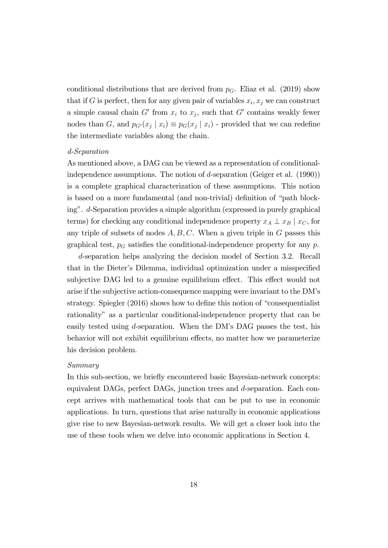conditional distributions that are derived from  $p<sub>G</sub>$ . Eliaz et al. (2019) show that if G is perfect, then for any given pair of variables  $x_i, x_j$  we can construct a simple causal chain  $G'$  from  $x_i$  to  $x_j$ , such that  $G'$  contains weakly fewer nodes than G, and  $p_{G'}(x_j | x_i) \equiv p_G(x_j | x_i)$  - provided that we can redefine the intermediate variables along the chain.

#### d-Separation

As mentioned above, a DAG can be viewed as a representation of conditionalindependence assumptions. The notion of d-separation (Geiger et al. (1990)) is a complete graphical characterization of these assumptions. This notion is based on a more fundamental (and non-trivial) definition of "path blockingî. d-Separation provides a simple algorithm (expressed in purely graphical terms) for checking any conditional independence property  $x_A \perp x_B | x_C$ , for any triple of subsets of nodes  $A, B, C$ . When a given triple in G passes this graphical test,  $p_G$  satisfies the conditional-independence property for any p.

d-separation helps analyzing the decision model of Section 3.2. Recall that in the Dieter's Dilemma, individual optimization under a misspecified subjective DAG led to a genuine equilibrium effect. This effect would not arise if the subjective action-consequence mapping were invariant to the DMís strategy. Spiegler  $(2016)$  shows how to define this notion of "consequentialist" rationalityî as a particular conditional-independence property that can be easily tested using d-separation. When the DMís DAG passes the test, his behavior will not exhibit equilibrium effects, no matter how we parameterize his decision problem.

#### Summary

In this sub-section, we briefly encountered basic Bayesian-network concepts: equivalent DAGs, perfect DAGs, junction trees and d-separation. Each concept arrives with mathematical tools that can be put to use in economic applications. In turn, questions that arise naturally in economic applications give rise to new Bayesian-network results. We will get a closer look into the use of these tools when we delve into economic applications in Section 4.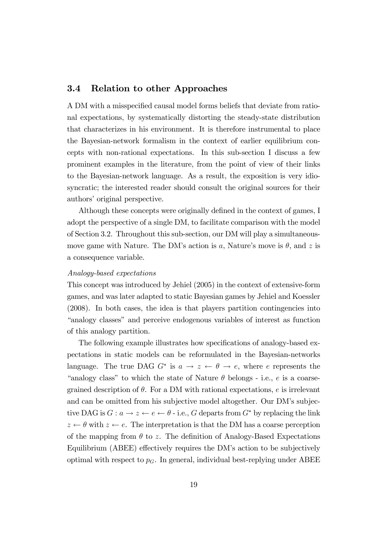## 3.4 Relation to other Approaches

A DM with a misspecified causal model forms beliefs that deviate from rational expectations, by systematically distorting the steady-state distribution that characterizes in his environment. It is therefore instrumental to place the Bayesian-network formalism in the context of earlier equilibrium concepts with non-rational expectations. In this sub-section I discuss a few prominent examples in the literature, from the point of view of their links to the Bayesian-network language. As a result, the exposition is very idiosyncratic; the interested reader should consult the original sources for their authors' original perspective.

Although these concepts were originally defined in the context of games, I adopt the perspective of a single DM, to facilitate comparison with the model of Section 3.2. Throughout this sub-section, our DM will play a simultaneousmove game with Nature. The DM's action is a, Nature's move is  $\theta$ , and z is a consequence variable.

#### Analogy-based expectations

This concept was introduced by Jehiel (2005) in the context of extensive-form games, and was later adapted to static Bayesian games by Jehiel and Koessler (2008). In both cases, the idea is that players partition contingencies into "analogy classes" and perceive endogenous variables of interest as function of this analogy partition.

The following example illustrates how specifications of analogy-based expectations in static models can be reformulated in the Bayesian-networks language. The true DAG  $G^*$  is  $a \to z \leftarrow \theta \to e$ , where e represents the "analogy class" to which the state of Nature  $\theta$  belongs - i.e., e is a coarsegrained description of  $\theta$ . For a DM with rational expectations, e is irrelevant and can be omitted from his subjective model altogether. Our DM's subjective DAG is  $G: a \to z \leftarrow e \leftarrow \theta$  - i.e., G departs from  $G^*$  by replacing the link  $z \leftarrow \theta$  with  $z \leftarrow e$ . The interpretation is that the DM has a coarse perception of the mapping from  $\theta$  to z. The definition of Analogy-Based Expectations Equilibrium (ABEE) effectively requires the DM's action to be subjectively optimal with respect to  $p<sub>G</sub>$ . In general, individual best-replying under ABEE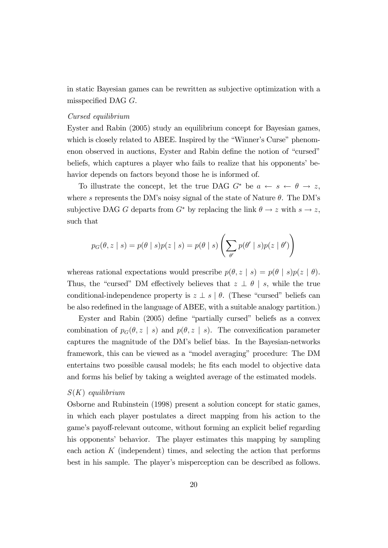in static Bayesian games can be rewritten as subjective optimization with a misspecified DAG  $G$ .

#### Cursed equilibrium

Eyster and Rabin (2005) study an equilibrium concept for Bayesian games, which is closely related to ABEE. Inspired by the "Winner's Curse" phenomenon observed in auctions, Eyster and Rabin define the notion of "cursed" beliefs, which captures a player who fails to realize that his opponents' behavior depends on factors beyond those he is informed of.

To illustrate the concept, let the true DAG  $G^*$  be  $a \leftarrow s \leftarrow \theta \rightarrow z$ , where s represents the DM's noisy signal of the state of Nature  $\theta$ . The DM's subjective DAG G departs from  $G^*$  by replacing the link  $\theta \to z$  with  $s \to z$ , such that

$$
p_G(\theta, z \mid s) = p(\theta \mid s) p(z \mid s) = p(\theta \mid s) \left( \sum_{\theta'} p(\theta' \mid s) p(z \mid \theta') \right)
$$

whereas rational expectations would prescribe  $p(\theta, z | s) = p(\theta | s)p(z | \theta)$ . Thus, the "cursed" DM effectively believes that  $z \perp \theta \mid s$ , while the true conditional-independence property is  $z \perp s \mid \theta$ . (These "cursed" beliefs can be also redefined in the language of ABEE, with a suitable analogy partition.)

Eyster and Rabin  $(2005)$  define "partially cursed" beliefs as a convex combination of  $p_G(\theta, z \mid s)$  and  $p(\theta, z \mid s)$ . The convexification parameter captures the magnitude of the DMís belief bias. In the Bayesian-networks framework, this can be viewed as a "model averaging" procedure: The DM entertains two possible causal models; he fits each model to objective data and forms his belief by taking a weighted average of the estimated models.

#### $S(K)$  equilibrium

Osborne and Rubinstein (1998) present a solution concept for static games, in which each player postulates a direct mapping from his action to the game's payoff-relevant outcome, without forming an explicit belief regarding his opponents' behavior. The player estimates this mapping by sampling each action  $K$  (independent) times, and selecting the action that performs best in his sample. The player's misperception can be described as follows.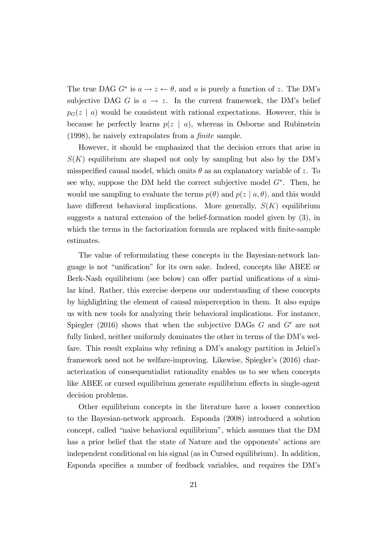The true DAG  $G^*$  is  $a \to z \leftarrow \theta$ , and u is purely a function of z. The DM's subjective DAG G is  $a \rightarrow z$ . In the current framework, the DM's belief  $p_{G}(z \mid a)$  would be consistent with rational expectations. However, this is because he perfectly learns  $p(z \mid a)$ , whereas in Osborne and Rubinstein  $(1998)$ , he naively extrapolates from a *finite* sample.

However, it should be emphasized that the decision errors that arise in  $S(K)$  equilibrium are shaped not only by sampling but also by the DM's misspecified causal model, which omits  $\theta$  as an explanatory variable of z. To see why, suppose the DM held the correct subjective model  $G^*$ . Then, he would use sampling to evaluate the terms  $p(\theta)$  and  $p(z | a, \theta)$ , and this would have different behavioral implications. More generally,  $S(K)$  equilibrium suggests a natural extension of the belief-formation model given by (3), in which the terms in the factorization formula are replaced with finite-sample estimates.

The value of reformulating these concepts in the Bayesian-network language is not "unification" for its own sake. Indeed, concepts like ABEE or Berk-Nash equilibrium (see below) can offer partial unifications of a similar kind. Rather, this exercise deepens our understanding of these concepts by highlighting the element of causal misperception in them. It also equips us with new tools for analyzing their behavioral implications. For instance, Spiegler (2016) shows that when the subjective DAGs  $G$  and  $G'$  are not fully linked, neither uniformly dominates the other in terms of the DM's welfare. This result explains why refining a DM's analogy partition in Jehiel's framework need not be welfare-improving. Likewise, Spiegler's (2016) characterization of consequentialist rationality enables us to see when concepts like ABEE or cursed equilibrium generate equilibrium effects in single-agent decision problems.

Other equilibrium concepts in the literature have a looser connection to the Bayesian-network approach. Esponda (2008) introduced a solution concept, called "naive behavioral equilibrium", which assumes that the DM has a prior belief that the state of Nature and the opponents' actions are independent conditional on his signal (as in Cursed equilibrium). In addition, Esponda specifies a number of feedback variables, and requires the DM's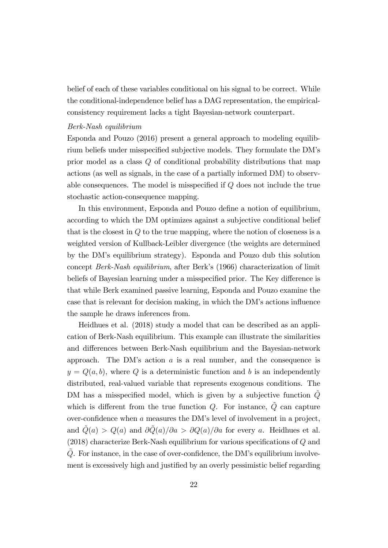belief of each of these variables conditional on his signal to be correct. While the conditional-independence belief has a DAG representation, the empiricalconsistency requirement lacks a tight Bayesian-network counterpart.

#### Berk-Nash equilibrium

Esponda and Pouzo (2016) present a general approach to modeling equilibrium beliefs under misspecified subjective models. They formulate the DM's prior model as a class Q of conditional probability distributions that map actions (as well as signals, in the case of a partially informed DM) to observable consequences. The model is misspecified if  $Q$  does not include the true stochastic action-consequence mapping.

In this environment, Esponda and Pouzo define a notion of equilibrium, according to which the DM optimizes against a subjective conditional belief that is the closest in Q to the true mapping, where the notion of closeness is a weighted version of Kullback-Leibler divergence (the weights are determined by the DMís equilibrium strategy). Esponda and Pouzo dub this solution concept Berk-Nash equilibrium, after Berkís (1966) characterization of limit beliefs of Bayesian learning under a misspecified prior. The Key difference is that while Berk examined passive learning, Esponda and Pouzo examine the case that is relevant for decision making, in which the DM's actions influence the sample he draws inferences from.

Heidhues et al. (2018) study a model that can be described as an application of Berk-Nash equilibrium. This example can illustrate the similarities and differences between Berk-Nash equilibrium and the Bayesian-network approach. The DM's action  $a$  is a real number, and the consequence is  $y = Q(a, b)$ , where Q is a deterministic function and b is an independently distributed, real-valued variable that represents exogenous conditions. The DM has a misspecified model, which is given by a subjective function  $\ddot{Q}$ which is different from the true function  $Q$ . For instance,  $Q~$  can capture over-confidence when  $a$  measures the DM's level of involvement in a project, and  $\tilde{Q}(a) > Q(a)$  and  $\partial \tilde{Q}(a)/\partial a > \partial Q(a)/\partial a$  for every a. Heidhues et al.  $(2018)$  characterize Berk-Nash equilibrium for various specifications of  $Q$  and  $Q$ . For instance, in the case of over-confidence, the DM's equilibrium involvement is excessively high and justified by an overly pessimistic belief regarding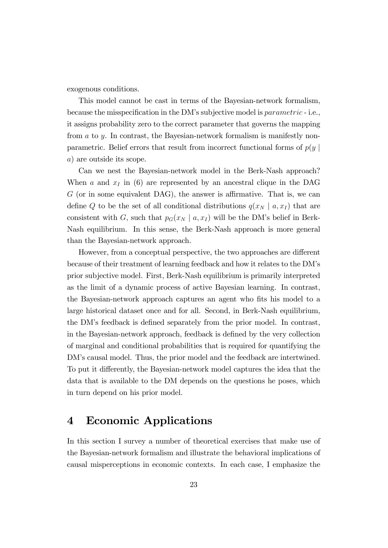exogenous conditions.

This model cannot be cast in terms of the Bayesian-network formalism, because the misspecification in the DM's subjective model is *parametric* - i.e., it assigns probability zero to the correct parameter that governs the mapping from a to y. In contrast, the Bayesian-network formalism is manifestly nonparametric. Belief errors that result from incorrect functional forms of  $p(y)$ a) are outside its scope.

Can we nest the Bayesian-network model in the Berk-Nash approach? When a and  $x_I$  in (6) are represented by an ancestral clique in the DAG  $G$  (or in some equivalent DAG), the answer is affirmative. That is, we can define Q to be the set of all conditional distributions  $q(x_N | a, x_I)$  that are consistent with G, such that  $p_G(x_N \mid a, x_I)$  will be the DM's belief in Berk-Nash equilibrium. In this sense, the Berk-Nash approach is more general than the Bayesian-network approach.

However, from a conceptual perspective, the two approaches are different because of their treatment of learning feedback and how it relates to the DMís prior subjective model. First, Berk-Nash equilibrium is primarily interpreted as the limit of a dynamic process of active Bayesian learning. In contrast, the Bayesian-network approach captures an agent who fits his model to a large historical dataset once and for all. Second, in Berk-Nash equilibrium, the DM's feedback is defined separately from the prior model. In contrast, in the Bayesian-network approach, feedback is defined by the very collection of marginal and conditional probabilities that is required for quantifying the DM's causal model. Thus, the prior model and the feedback are intertwined. To put it differently, the Bayesian-network model captures the idea that the data that is available to the DM depends on the questions he poses, which in turn depend on his prior model.

# 4 Economic Applications

In this section I survey a number of theoretical exercises that make use of the Bayesian-network formalism and illustrate the behavioral implications of causal misperceptions in economic contexts. In each case, I emphasize the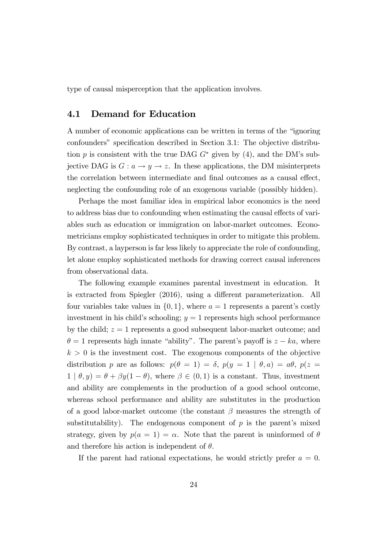type of causal misperception that the application involves.

## 4.1 Demand for Education

A number of economic applications can be written in terms of the "ignoring" confounders" specification described in Section 3.1: The objective distribution p is consistent with the true DAG  $G^*$  given by (4), and the DM's subjective DAG is  $G: a \to y \to z$ . In these applications, the DM misinterprets the correlation between intermediate and final outcomes as a causal effect, neglecting the confounding role of an exogenous variable (possibly hidden).

Perhaps the most familiar idea in empirical labor economics is the need to address bias due to confounding when estimating the causal effects of variables such as education or immigration on labor-market outcomes. Econometricians employ sophisticated techniques in order to mitigate this problem. By contrast, a layperson is far less likely to appreciate the role of confounding, let alone employ sophisticated methods for drawing correct causal inferences from observational data.

The following example examines parental investment in education. It is extracted from Spiegler (2016), using a different parameterization. All four variables take values in  $\{0, 1\}$ , where  $a = 1$  represents a parent's costly investment in his child's schooling;  $y = 1$  represents high school performance by the child;  $z = 1$  represents a good subsequent labor-market outcome; and  $\theta = 1$  represents high innate "ability". The parent's payoff is  $z - ka$ , where  $k > 0$  is the investment cost. The exogenous components of the objective distribution p are as follows:  $p(\theta = 1) = \delta$ ,  $p(y = 1 | \theta, a) = a\theta$ ,  $p(z =$  $1 | \theta, y$  =  $\theta + \beta y (1 - \theta)$ , where  $\beta \in (0, 1)$  is a constant. Thus, investment and ability are complements in the production of a good school outcome, whereas school performance and ability are substitutes in the production of a good labor-market outcome (the constant  $\beta$  measures the strength of substitutability). The endogenous component of  $p$  is the parent's mixed strategy, given by  $p(a = 1) = \alpha$ . Note that the parent is uninformed of  $\theta$ and therefore his action is independent of  $\theta$ .

If the parent had rational expectations, he would strictly prefer  $a = 0$ .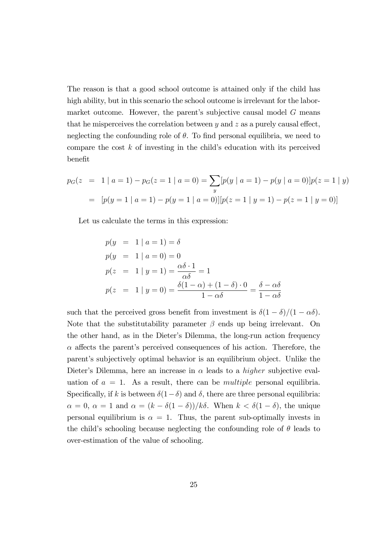The reason is that a good school outcome is attained only if the child has high ability, but in this scenario the school outcome is irrelevant for the labormarket outcome. However, the parent's subjective causal model  $G$  means that he misperceives the correlation between  $y$  and  $z$  as a purely causal effect, neglecting the confounding role of  $\theta$ . To find personal equilibria, we need to compare the cost  $k$  of investing in the child's education with its perceived benefit

$$
p_G(z = 1 | a = 1) - p_G(z = 1 | a = 0) = \sum_y [p(y | a = 1) - p(y | a = 0)] p(z = 1 | y)
$$
  
= 
$$
[p(y = 1 | a = 1) - p(y = 1 | a = 0)][p(z = 1 | y = 1) - p(z = 1 | y = 0)]
$$

Let us calculate the terms in this expression:

$$
p(y = 1 | a = 1) = \delta
$$
  
\n
$$
p(y = 1 | a = 0) = 0
$$
  
\n
$$
p(z = 1 | y = 1) = \frac{\alpha \delta \cdot 1}{\alpha \delta} = 1
$$
  
\n
$$
p(z = 1 | y = 0) = \frac{\delta(1 - \alpha) + (1 - \delta) \cdot 0}{1 - \alpha \delta} = \frac{\delta - \alpha \delta}{1 - \alpha \delta}
$$

such that the perceived gross benefit from investment is  $\delta(1 - \delta)/(1 - \alpha \delta)$ . Note that the substitutability parameter  $\beta$  ends up being irrelevant. On the other hand, as in the Dieter's Dilemma, the long-run action frequency  $\alpha$  affects the parent's perceived consequences of his action. Therefore, the parent's subjectively optimal behavior is an equilibrium object. Unlike the Dieter's Dilemma, here an increase in  $\alpha$  leads to a *higher* subjective evaluation of  $a = 1$ . As a result, there can be *multiple* personal equilibria. Specifically, if k is between  $\delta(1-\delta)$  and  $\delta$ , there are three personal equilibria:  $\alpha = 0, \ \alpha = 1 \text{ and } \alpha = (k - \delta(1 - \delta))/k\delta.$  When  $k < \delta(1 - \delta)$ , the unique personal equilibrium is  $\alpha = 1$ . Thus, the parent sub-optimally invests in the child's schooling because neglecting the confounding role of  $\theta$  leads to over-estimation of the value of schooling.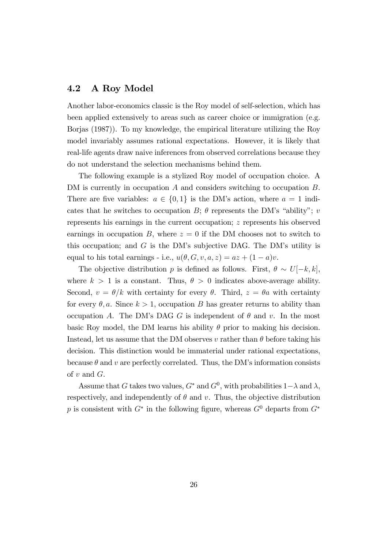## 4.2 A Roy Model

Another labor-economics classic is the Roy model of self-selection, which has been applied extensively to areas such as career choice or immigration (e.g. Borjas (1987)). To my knowledge, the empirical literature utilizing the Roy model invariably assumes rational expectations. However, it is likely that real-life agents draw naive inferences from observed correlations because they do not understand the selection mechanisms behind them.

The following example is a stylized Roy model of occupation choice. A DM is currently in occupation A and considers switching to occupation B. There are five variables:  $a \in \{0, 1\}$  is the DM's action, where  $a = 1$  indicates that he switches to occupation  $B$ ;  $\theta$  represents the DM's "ability"; v represents his earnings in the current occupation; z represents his observed earnings in occupation B, where  $z = 0$  if the DM chooses not to switch to this occupation; and  $G$  is the DM's subjective DAG. The DM's utility is equal to his total earnings - i.e.,  $u(\theta, G, v, a, z) = az + (1 - a)v$ .

The objective distribution p is defined as follows. First,  $\theta \sim U[-k, k]$ , where  $k > 1$  is a constant. Thus,  $\theta > 0$  indicates above-average ability. Second,  $v = \theta/k$  with certainty for every  $\theta$ . Third,  $z = \theta a$  with certainty for every  $\theta$ , a. Since  $k > 1$ , occupation B has greater returns to ability than occupation A. The DM's DAG G is independent of  $\theta$  and v. In the most basic Roy model, the DM learns his ability  $\theta$  prior to making his decision. Instead, let us assume that the DM observes v rather than  $\theta$  before taking his decision. This distinction would be immaterial under rational expectations, because  $\theta$  and v are perfectly correlated. Thus, the DM's information consists of  $v$  and  $G$ .

Assume that G takes two values,  $G^*$  and  $G^0$ , with probabilities  $1-\lambda$  and  $\lambda$ , respectively, and independently of  $\theta$  and v. Thus, the objective distribution p is consistent with  $G^*$  in the following figure, whereas  $G^0$  departs from  $G^*$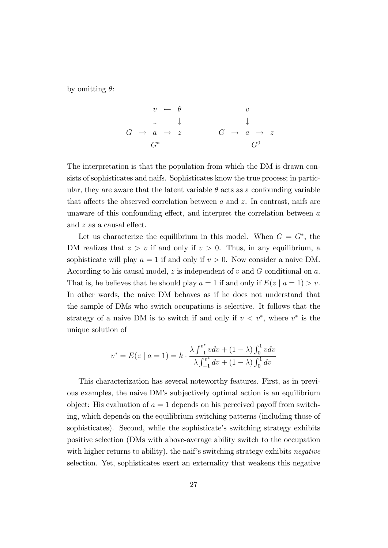by omitting  $\theta$ :

$$
\begin{array}{ccccccc}\n & v & \leftarrow & \theta & & v \\
 & \downarrow & & \downarrow & & \downarrow & \\
G & \to & a & \to & z & & G & \to & a & \to & z \\
& & & & & & G^0 & & & \\
\end{array}
$$

The interpretation is that the population from which the DM is drawn consists of sophisticates and naifs. Sophisticates know the true process; in particular, they are aware that the latent variable  $\theta$  acts as a confounding variable that affects the observed correlation between a and z. In contrast, naifs are unaware of this confounding effect, and interpret the correlation between  $a$ and  $z$  as a causal effect.

Let us characterize the equilibrium in this model. When  $G = G^*$ , the DM realizes that  $z > v$  if and only if  $v > 0$ . Thus, in any equilibrium, a sophisticate will play  $a = 1$  if and only if  $v > 0$ . Now consider a naive DM. According to his causal model, z is independent of v and  $G$  conditional on  $a$ . That is, he believes that he should play  $a = 1$  if and only if  $E(z \mid a = 1) > v$ . In other words, the naive DM behaves as if he does not understand that the sample of DMs who switch occupations is selective. It follows that the strategy of a naive DM is to switch if and only if  $v < v^*$ , where  $v^*$  is the unique solution of

$$
v^* = E(z \mid a = 1) = k \cdot \frac{\lambda \int_{-1}^{v^*} v dv + (1 - \lambda) \int_0^1 v dv}{\lambda \int_{-1}^{v^*} dv + (1 - \lambda) \int_0^1 dv}
$$

This characterization has several noteworthy features. First, as in previous examples, the naive DMís subjectively optimal action is an equilibrium object: His evaluation of  $a = 1$  depends on his perceived payoff from switching, which depends on the equilibrium switching patterns (including those of sophisticates). Second, while the sophisticate's switching strategy exhibits positive selection (DMs with above-average ability switch to the occupation with higher returns to ability), the naif's switching strategy exhibits negative selection. Yet, sophisticates exert an externality that weakens this negative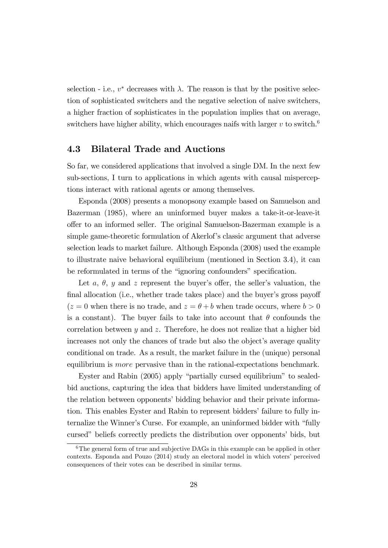selection - i.e.,  $v^*$  decreases with  $\lambda$ . The reason is that by the positive selection of sophisticated switchers and the negative selection of naive switchers, a higher fraction of sophisticates in the population implies that on average, switchers have higher ability, which encourages naifs with larger v to switch.<sup>6</sup>

## 4.3 Bilateral Trade and Auctions

So far, we considered applications that involved a single DM. In the next few sub-sections, I turn to applications in which agents with causal misperceptions interact with rational agents or among themselves.

Esponda (2008) presents a monopsony example based on Samuelson and Bazerman (1985), where an uninformed buyer makes a take-it-or-leave-it o§er to an informed seller. The original Samuelson-Bazerman example is a simple game-theoretic formulation of Akerlof's classic argument that adverse selection leads to market failure. Although Esponda (2008) used the example to illustrate naive behavioral equilibrium (mentioned in Section 3.4), it can be reformulated in terms of the "ignoring confounders" specification.

Let a,  $\theta$ , y and z represent the buyer's offer, the seller's valuation, the final allocation (i.e., whether trade takes place) and the buyer's gross payoff  $(z = 0$  when there is no trade, and  $z = \theta + b$  when trade occurs, where  $b > 0$ is a constant). The buyer fails to take into account that  $\theta$  confounds the correlation between  $y$  and  $z$ . Therefore, he does not realize that a higher bid increases not only the chances of trade but also the object's average quality conditional on trade. As a result, the market failure in the (unique) personal equilibrium is more pervasive than in the rational-expectations benchmark.

Eyster and Rabin (2005) apply "partially cursed equilibrium" to sealedbid auctions, capturing the idea that bidders have limited understanding of the relation between opponents' bidding behavior and their private information. This enables Eyster and Rabin to represent bidders' failure to fully internalize the Winner's Curse. For example, an uninformed bidder with "fully cursed" beliefs correctly predicts the distribution over opponents' bids, but

 $6$ The general form of true and subjective DAGs in this example can be applied in other  $\alpha$  contexts. Esponda and Pouzo  $(2014)$  study an electoral model in which voters' perceived consequences of their votes can be described in similar terms.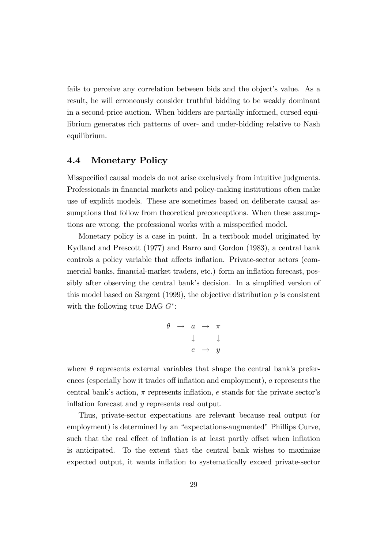fails to perceive any correlation between bids and the object's value. As a result, he will erroneously consider truthful bidding to be weakly dominant in a second-price auction. When bidders are partially informed, cursed equilibrium generates rich patterns of over- and under-bidding relative to Nash equilibrium.

## 4.4 Monetary Policy

Misspecified causal models do not arise exclusively from intuitive judgments. Professionals in financial markets and policy-making institutions often make use of explicit models. These are sometimes based on deliberate causal assumptions that follow from theoretical preconceptions. When these assumptions are wrong, the professional works with a misspecified model.

Monetary policy is a case in point. In a textbook model originated by Kydland and Prescott (1977) and Barro and Gordon (1983), a central bank controls a policy variable that affects inflation. Private-sector actors (commercial banks, financial-market traders, etc.) form an inflation forecast, possibly after observing the central bank's decision. In a simplified version of this model based on Sargent  $(1999)$ , the objective distribution p is consistent with the following true DAG  $G^*$ :

$$
\begin{array}{rcl}\n\theta & \rightarrow & a & \rightarrow & \pi \\
& & \downarrow & & \downarrow \\
& & e & \rightarrow & y\n\end{array}
$$

where  $\theta$  represents external variables that shape the central bank's preferences (especially how it trades of finflation and employment),  $a$  represents the central bank's action,  $\pi$  represents inflation, e stands for the private sector's inflation forecast and  $y$  represents real output.

Thus, private-sector expectations are relevant because real output (or employment) is determined by an "expectations-augmented" Phillips Curve, such that the real effect of inflation is at least partly offset when inflation is anticipated. To the extent that the central bank wishes to maximize expected output, it wants ináation to systematically exceed private-sector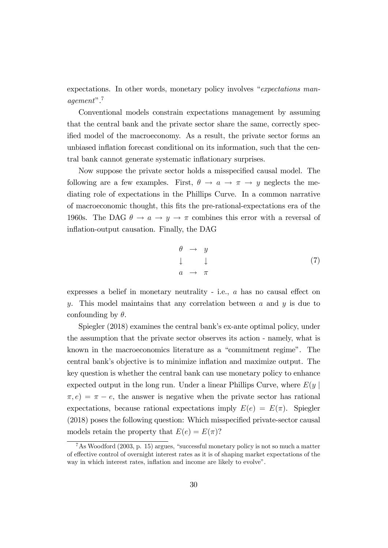expectations. In other words, monetary policy involves  $e$ expectations man $aqement$ ".<sup>7</sup>

Conventional models constrain expectations management by assuming that the central bank and the private sector share the same, correctly specified model of the macroeconomy. As a result, the private sector forms an unbiased inflation forecast conditional on its information, such that the central bank cannot generate systematic inflationary surprises.

Now suppose the private sector holds a misspecified causal model. The following are a few examples. First,  $\theta \rightarrow a \rightarrow \pi \rightarrow y$  neglects the mediating role of expectations in the Phillips Curve. In a common narrative of macroeconomic thought, this Öts the pre-rational-expectations era of the 1960s. The DAG  $\theta \to a \to y \to \pi$  combines this error with a reversal of inflation-output causation. Finally, the DAG

$$
\begin{array}{ccc}\n\theta & \to & y \\
\downarrow & & \downarrow \\
a & \to & \pi\n\end{array} \tag{7}
$$

expresses a belief in monetary neutrality - i.e.,  $a$  has no causal effect on y. This model maintains that any correlation between  $a$  and  $y$  is due to confounding by  $\theta$ .

Spiegler (2018) examines the central bank's ex-ante optimal policy, under the assumption that the private sector observes its action - namely, what is known in the macroeconomics literature as a "commitment regime". The central bankís objective is to minimize ináation and maximize output. The key question is whether the central bank can use monetary policy to enhance expected output in the long run. Under a linear Phillips Curve, where  $E(y \mid$  $\pi$ ,  $e$ ) =  $\pi$  – e, the answer is negative when the private sector has rational expectations, because rational expectations imply  $E(e) = E(\pi)$ . Spiegler  $(2018)$  poses the following question: Which misspecified private-sector causal models retain the property that  $E(e) = E(\pi)$ ?

 ${}^{7}$ As Woodford (2003, p. 15) argues, "successful monetary policy is not so much a matter of effective control of overnight interest rates as it is of shaping market expectations of the way in which interest rates, inflation and income are likely to evolve".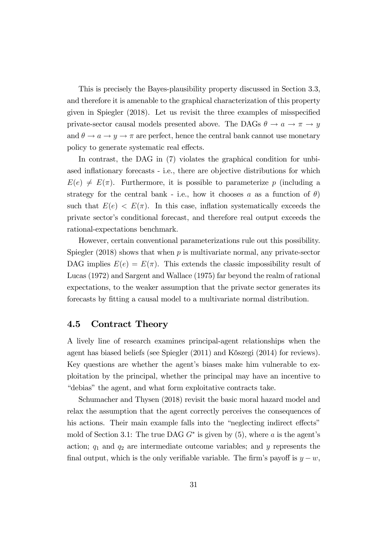This is precisely the Bayes-plausibility property discussed in Section 3.3, and therefore it is amenable to the graphical characterization of this property given in Spiegler  $(2018)$ . Let us revisit the three examples of misspecified private-sector causal models presented above. The DAGs  $\theta \to a \to \pi \to y$ and  $\theta \to a \to y \to \pi$  are perfect, hence the central bank cannot use monetary policy to generate systematic real effects.

In contrast, the DAG in  $(7)$  violates the graphical condition for unbiased inflationary forecasts - i.e., there are objective distributions for which  $E(e) \neq E(\pi)$ . Furthermore, it is possible to parameterize p (including a strategy for the central bank - i.e., how it chooses a as a function of  $\theta$ ) such that  $E(e) < E(\pi)$ . In this case, inflation systematically exceeds the private sector's conditional forecast, and therefore real output exceeds the rational-expectations benchmark.

However, certain conventional parameterizations rule out this possibility. Spiegler  $(2018)$  shows that when p is multivariate normal, any private-sector DAG implies  $E(e) = E(\pi)$ . This extends the classic impossibility result of Lucas (1972) and Sargent and Wallace (1975) far beyond the realm of rational expectations, to the weaker assumption that the private sector generates its forecasts by fitting a causal model to a multivariate normal distribution.

### 4.5 Contract Theory

A lively line of research examines principal-agent relationships when the agent has biased beliefs (see Spiegler (2011) and Kőszegi (2014) for reviews). Key questions are whether the agent's biases make him vulnerable to exploitation by the principal, whether the principal may have an incentive to "debias" the agent, and what form exploitative contracts take.

Schumacher and Thysen (2018) revisit the basic moral hazard model and relax the assumption that the agent correctly perceives the consequences of his actions. Their main example falls into the "neglecting indirect effects" mold of Section 3.1: The true DAG  $G^*$  is given by  $(5)$ , where a is the agent's action;  $q_1$  and  $q_2$  are intermediate outcome variables; and y represents the final output, which is the only verifiable variable. The firm's payoff is  $y - w$ ,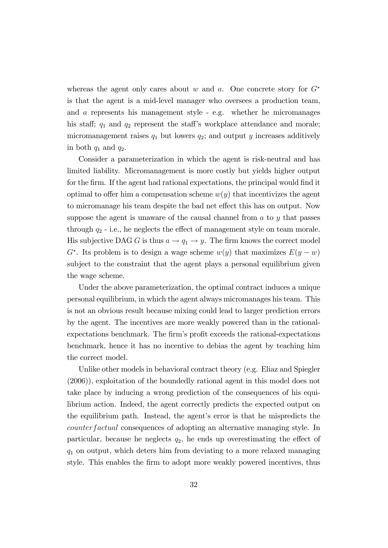whereas the agent only cares about w and a. One concrete story for  $G^*$ is that the agent is a mid-level manager who oversees a production team, and a represents his management style - e.g. whether he micromanages his staff;  $q_1$  and  $q_2$  represent the staff's workplace attendance and morale; micromanagement raises  $q_1$  but lowers  $q_2$ ; and output y increases additively in both  $q_1$  and  $q_2$ .

Consider a parameterization in which the agent is risk-neutral and has limited liability. Micromanagement is more costly but yields higher output for the firm. If the agent had rational expectations, the principal would find it optimal to offer him a compensation scheme  $w(y)$  that incentivizes the agent to micromanage his team despite the bad net effect this has on output. Now suppose the agent is unaware of the causal channel from a to y that passes through  $q_2$  - i.e., he neglects the effect of management style on team morale. His subjective DAG G is thus  $a \to q_1 \to y$ . The firm knows the correct model  $G^*$ . Its problem is to design a wage scheme  $w(y)$  that maximizes  $E(y - w)$ subject to the constraint that the agent plays a personal equilibrium given the wage scheme.

Under the above parameterization, the optimal contract induces a unique personal equilibrium, in which the agent always micromanages his team. This is not an obvious result because mixing could lead to larger prediction errors by the agent. The incentives are more weakly powered than in the rationalexpectations benchmark. The firm's profit exceeds the rational-expectations benchmark, hence it has no incentive to debias the agent by teaching him the correct model.

Unlike other models in behavioral contract theory (e.g. Eliaz and Spiegler (2006)), exploitation of the boundedly rational agent in this model does not take place by inducing a wrong prediction of the consequences of his equilibrium action. Indeed, the agent correctly predicts the expected output on the equilibrium path. Instead, the agent's error is that he mispredicts the counterfactual consequences of adopting an alternative managing style. In particular, because he neglects  $q_2$ , he ends up overestimating the effect of  $q_1$  on output, which deters him from deviating to a more relaxed managing style. This enables the firm to adopt more weakly powered incentives, thus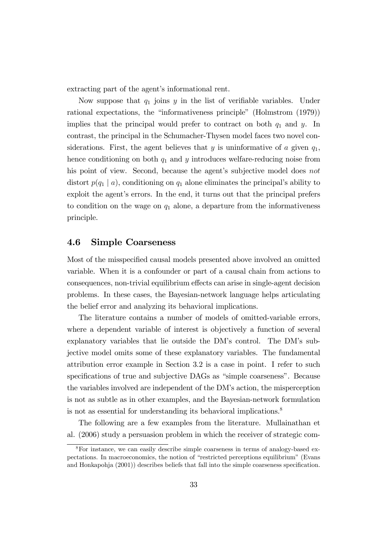extracting part of the agent's informational rent.

Now suppose that  $q_1$  joins y in the list of verifiable variables. Under rational expectations, the "informativeness principle" (Holmstrom (1979)) implies that the principal would prefer to contract on both  $q_1$  and y. In contrast, the principal in the Schumacher-Thysen model faces two novel considerations. First, the agent believes that  $y$  is uninformative of  $a$  given  $q_1$ , hence conditioning on both  $q_1$  and  $y$  introduces welfare-reducing noise from his point of view. Second, because the agent's subjective model does not distort  $p(q_1 | a)$ , conditioning on  $q_1$  alone eliminates the principal's ability to exploit the agent's errors. In the end, it turns out that the principal prefers to condition on the wage on  $q_1$  alone, a departure from the informativeness principle.

#### 4.6 Simple Coarseness

Most of the misspecified causal models presented above involved an omitted variable. When it is a confounder or part of a causal chain from actions to consequences, non-trivial equilibrium effects can arise in single-agent decision problems. In these cases, the Bayesian-network language helps articulating the belief error and analyzing its behavioral implications.

The literature contains a number of models of omitted-variable errors, where a dependent variable of interest is objectively a function of several explanatory variables that lie outside the DM's control. The DM's subjective model omits some of these explanatory variables. The fundamental attribution error example in Section 3.2 is a case in point. I refer to such specifications of true and subjective DAGs as "simple coarseness". Because the variables involved are independent of the DM's action, the misperception is not as subtle as in other examples, and the Bayesian-network formulation is not as essential for understanding its behavioral implications.<sup>8</sup>

The following are a few examples from the literature. Mullainathan et al. (2006) study a persuasion problem in which the receiver of strategic com-

<sup>8</sup>For instance, we can easily describe simple coarseness in terms of analogy-based expectations. In macroeconomics, the notion of "restricted perceptions equilibrium" (Evans and Honkapohja (2001)) describes beliefs that fall into the simple coarseness specification.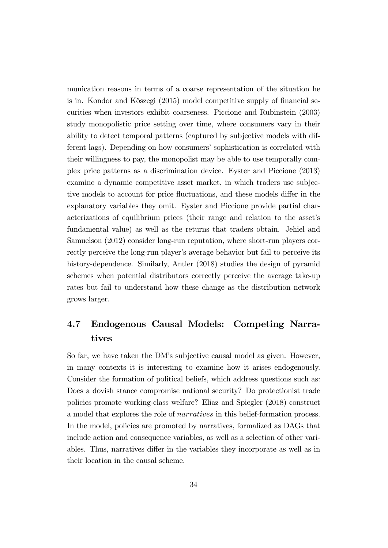munication reasons in terms of a coarse representation of the situation he is in. Kondor and Kőszegi (2015) model competitive supply of financial securities when investors exhibit coarseness. Piccione and Rubinstein (2003) study monopolistic price setting over time, where consumers vary in their ability to detect temporal patterns (captured by subjective models with different lags). Depending on how consumers' sophistication is correlated with their willingness to pay, the monopolist may be able to use temporally complex price patterns as a discrimination device. Eyster and Piccione (2013) examine a dynamic competitive asset market, in which traders use subjective models to account for price fluctuations, and these models differ in the explanatory variables they omit. Eyster and Piccione provide partial characterizations of equilibrium prices (their range and relation to the assetís fundamental value) as well as the returns that traders obtain. Jehiel and Samuelson (2012) consider long-run reputation, where short-run players correctly perceive the long-run player's average behavior but fail to perceive its history-dependence. Similarly, Antler (2018) studies the design of pyramid schemes when potential distributors correctly perceive the average take-up rates but fail to understand how these change as the distribution network grows larger.

# 4.7 Endogenous Causal Models: Competing Narratives

So far, we have taken the DMís subjective causal model as given. However, in many contexts it is interesting to examine how it arises endogenously. Consider the formation of political beliefs, which address questions such as: Does a dovish stance compromise national security? Do protectionist trade policies promote working-class welfare? Eliaz and Spiegler (2018) construct a model that explores the role of narratives in this belief-formation process. In the model, policies are promoted by narratives, formalized as DAGs that include action and consequence variables, as well as a selection of other variables. Thus, narratives differ in the variables they incorporate as well as in their location in the causal scheme.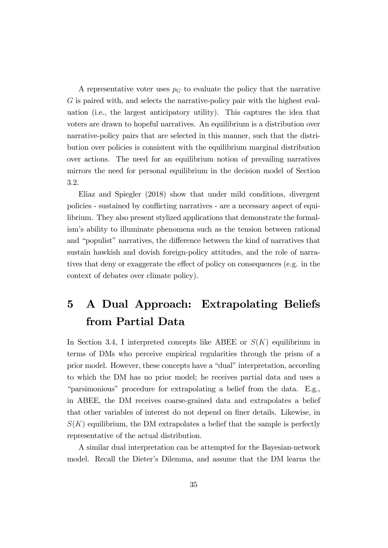A representative voter uses  $p<sub>G</sub>$  to evaluate the policy that the narrative G is paired with, and selects the narrative-policy pair with the highest evaluation (i.e., the largest anticipatory utility). This captures the idea that voters are drawn to hopeful narratives. An equilibrium is a distribution over narrative-policy pairs that are selected in this manner, such that the distribution over policies is consistent with the equilibrium marginal distribution over actions. The need for an equilibrium notion of prevailing narratives mirrors the need for personal equilibrium in the decision model of Section 3.2.

Eliaz and Spiegler (2018) show that under mild conditions, divergent policies - sustained by conflicting narratives - are a necessary aspect of equilibrium. They also present stylized applications that demonstrate the formalismís ability to illuminate phenomena such as the tension between rational and "populist" narratives, the difference between the kind of narratives that sustain hawkish and dovish foreign-policy attitudes, and the role of narratives that deny or exaggerate the effect of policy on consequences (e.g. in the context of debates over climate policy).

# 5 A Dual Approach: Extrapolating Beliefs from Partial Data

In Section 3.4, I interpreted concepts like ABEE or  $S(K)$  equilibrium in terms of DMs who perceive empirical regularities through the prism of a prior model. However, these concepts have a "dual" interpretation, according to which the DM has no prior model; he receives partial data and uses a ìparsimoniousî procedure for extrapolating a belief from the data. E.g., in ABEE, the DM receives coarse-grained data and extrapolates a belief that other variables of interest do not depend on finer details. Likewise, in  $S(K)$  equilibrium, the DM extrapolates a belief that the sample is perfectly representative of the actual distribution.

A similar dual interpretation can be attempted for the Bayesian-network model. Recall the Dieter's Dilemma, and assume that the DM learns the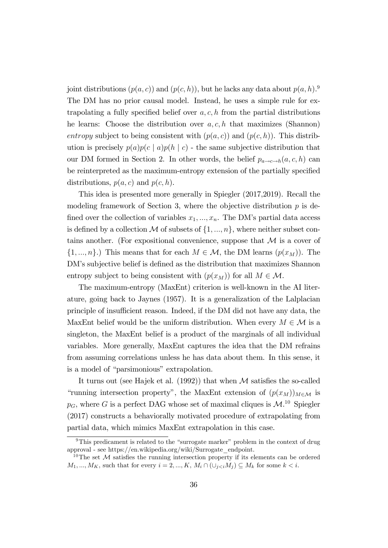joint distributions  $(p(a, c))$  and  $(p(c, h))$ , but he lacks any data about  $p(a, h)$ .<sup>9</sup> The DM has no prior causal model. Instead, he uses a simple rule for extrapolating a fully specified belief over  $a, c, h$  from the partial distributions he learns: Choose the distribution over  $a, c, h$  that maximizes (Shannon) entropy subject to being consistent with  $(p(a, c))$  and  $(p(c, h))$ . This distribution is precisely  $p(a)p(c \mid a)p(h \mid c)$  - the same subjective distribution that our DM formed in Section 2. In other words, the belief  $p_{a\to c\to h}(a, c, h)$  can be reinterpreted as the maximum-entropy extension of the partially specified distributions,  $p(a, c)$  and  $p(c, h)$ .

This idea is presented more generally in Spiegler (2017,2019). Recall the modeling framework of Section 3, where the objective distribution  $p$  is defined over the collection of variables  $x_1, ..., x_n$ . The DM's partial data access is defined by a collection M of subsets of  $\{1, ..., n\}$ , where neither subset contains another. (For expositional convenience, suppose that  $\mathcal M$  is a cover of  $\{1, ..., n\}$ .) This means that for each  $M \in \mathcal{M}$ , the DM learns  $(p(x_M))$ . The DM's subjective belief is defined as the distribution that maximizes Shannon entropy subject to being consistent with  $(p(x_M))$  for all  $M \in \mathcal{M}$ .

The maximum-entropy (MaxEnt) criterion is well-known in the AI literature, going back to Jaynes (1957). It is a generalization of the Lalplacian principle of insufficient reason. Indeed, if the DM did not have any data, the MaxEnt belief would be the uniform distribution. When every  $M \in \mathcal{M}$  is a singleton, the MaxEnt belief is a product of the marginals of all individual variables. More generally, MaxEnt captures the idea that the DM refrains from assuming correlations unless he has data about them. In this sense, it is a model of "parsimonious" extrapolation.

It turns out (see Hajek et al.  $(1992)$ ) that when M satisfies the so-called "running intersection property", the MaxEnt extension of  $(p(x_M))_{M\in\mathcal{M}}$  is  $p_G$ , where G is a perfect DAG whose set of maximal cliques is  $\mathcal{M}$ <sup>10</sup> Spiegler (2017) constructs a behaviorally motivated procedure of extrapolating from partial data, which mimics MaxEnt extrapolation in this case.

<sup>&</sup>lt;sup>9</sup>This predicament is related to the "surrogate marker" problem in the context of drug approval - see https://en.wikipedia.org/wiki/Surrogate\_endpoint.

<sup>&</sup>lt;sup>10</sup>The set  $M$  satisfies the running intersection property if its elements can be ordered  $M_1, ..., M_K$ , such that for every  $i = 2, ..., K$ ,  $M_i \cap (\cup_{j < i} M_j) \subseteq M_k$  for some  $k < i$ .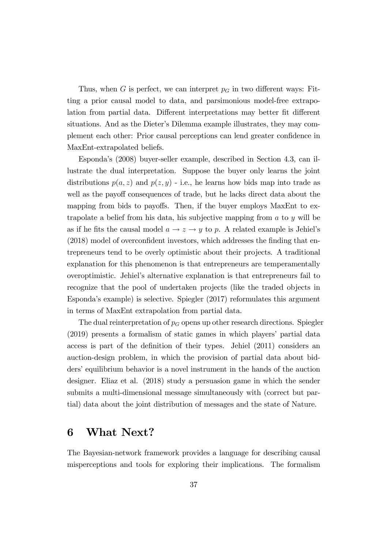Thus, when G is perfect, we can interpret  $p<sub>G</sub>$  in two different ways: Fitting a prior causal model to data, and parsimonious model-free extrapolation from partial data. Different interpretations may better fit different situations. And as the Dieter's Dilemma example illustrates, they may complement each other: Prior causal perceptions can lend greater confidence in MaxEnt-extrapolated beliefs.

Espondaís (2008) buyer-seller example, described in Section 4.3, can illustrate the dual interpretation. Suppose the buyer only learns the joint distributions  $p(a, z)$  and  $p(z, y)$  - i.e., he learns how bids map into trade as well as the payoff consequences of trade, but he lacks direct data about the mapping from bids to payoffs. Then, if the buyer employs MaxEnt to extrapolate a belief from his data, his subjective mapping from  $a$  to  $y$  will be as if he fits the causal model  $a \rightarrow z \rightarrow y$  to p. A related example is Jehiel's  $(2018)$  model of overconfident investors, which addresses the finding that entrepreneurs tend to be overly optimistic about their projects. A traditional explanation for this phenomenon is that entrepreneurs are temperamentally overoptimistic. Jehielís alternative explanation is that entrepreneurs fail to recognize that the pool of undertaken projects (like the traded objects in Espondaís example) is selective. Spiegler (2017) reformulates this argument in terms of MaxEnt extrapolation from partial data.

The dual reinterpretation of  $p<sub>G</sub>$  opens up other research directions. Spiegler  $(2019)$  presents a formalism of static games in which players' partial data access is part of the definition of their types. Jehiel  $(2011)$  considers an auction-design problem, in which the provision of partial data about bidders' equilibrium behavior is a novel instrument in the hands of the auction designer. Eliaz et al. (2018) study a persuasion game in which the sender submits a multi-dimensional message simultaneously with (correct but partial) data about the joint distribution of messages and the state of Nature.

# 6 What Next?

The Bayesian-network framework provides a language for describing causal misperceptions and tools for exploring their implications. The formalism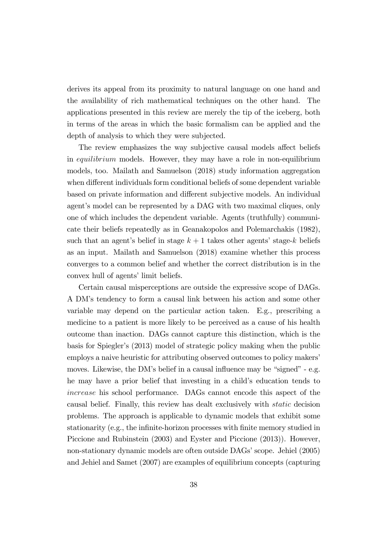derives its appeal from its proximity to natural language on one hand and the availability of rich mathematical techniques on the other hand. The applications presented in this review are merely the tip of the iceberg, both in terms of the areas in which the basic formalism can be applied and the depth of analysis to which they were subjected.

The review emphasizes the way subjective causal models affect beliefs in equilibrium models. However, they may have a role in non-equilibrium models, too. Mailath and Samuelson (2018) study information aggregation when different individuals form conditional beliefs of some dependent variable based on private information and different subjective models. An individual agent's model can be represented by a DAG with two maximal cliques, only one of which includes the dependent variable. Agents (truthfully) communicate their beliefs repeatedly as in Geanakopolos and Polemarchakis (1982), such that an agent's belief in stage  $k + 1$  takes other agents' stage-k beliefs as an input. Mailath and Samuelson (2018) examine whether this process converges to a common belief and whether the correct distribution is in the convex hull of agents' limit beliefs.

Certain causal misperceptions are outside the expressive scope of DAGs. A DMís tendency to form a causal link between his action and some other variable may depend on the particular action taken. E.g., prescribing a medicine to a patient is more likely to be perceived as a cause of his health outcome than inaction. DAGs cannot capture this distinction, which is the basis for Spiegler's (2013) model of strategic policy making when the public employs a naive heuristic for attributing observed outcomes to policy makers<sup>7</sup> moves. Likewise, the DM's belief in a causal influence may be "signed"  $-$  e.g. he may have a prior belief that investing in a child's education tends to increase his school performance. DAGs cannot encode this aspect of the causal belief. Finally, this review has dealt exclusively with static decision problems. The approach is applicable to dynamic models that exhibit some stationarity (e.g., the infinite-horizon processes with finite memory studied in Piccione and Rubinstein (2003) and Eyster and Piccione (2013)). However, non-stationary dynamic models are often outside DAGs' scope. Jehiel (2005) and Jehiel and Samet (2007) are examples of equilibrium concepts (capturing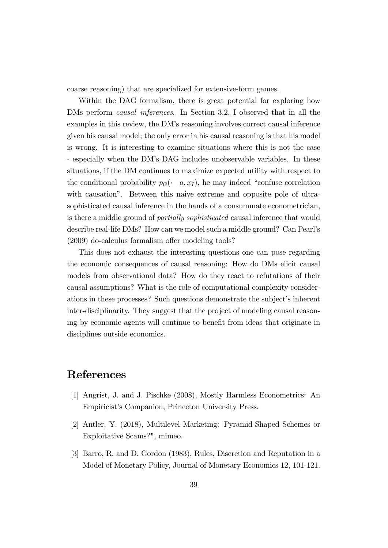coarse reasoning) that are specialized for extensive-form games.

Within the DAG formalism, there is great potential for exploring how DMs perform causal inferences. In Section 3.2, I observed that in all the examples in this review, the DM's reasoning involves correct causal inference given his causal model; the only error in his causal reasoning is that his model is wrong. It is interesting to examine situations where this is not the case - especially when the DMís DAG includes unobservable variables. In these situations, if the DM continues to maximize expected utility with respect to the conditional probability  $p_G(\cdot \mid a, x_I)$ , he may indeed "confuse correlation" with causation". Between this naive extreme and opposite pole of ultrasophisticated causal inference in the hands of a consummate econometrician, is there a middle ground of partially sophisticated causal inference that would describe real-life DMs? How can we model such a middle ground? Can Pearlís  $(2009)$  do-calculus formalism offer modeling tools?

This does not exhaust the interesting questions one can pose regarding the economic consequences of causal reasoning: How do DMs elicit causal models from observational data? How do they react to refutations of their causal assumptions? What is the role of computational-complexity considerations in these processes? Such questions demonstrate the subject's inherent inter-disciplinarity. They suggest that the project of modeling causal reasoning by economic agents will continue to benefit from ideas that originate in disciplines outside economics.

# References

- [1] Angrist, J. and J. Pischke (2008), Mostly Harmless Econometrics: An Empiricist's Companion, Princeton University Press.
- [2] Antler, Y. (2018), Multilevel Marketing: Pyramid-Shaped Schemes or Exploitative Scams?", mimeo.
- [3] Barro, R. and D. Gordon (1983), Rules, Discretion and Reputation in a Model of Monetary Policy, Journal of Monetary Economics 12, 101-121.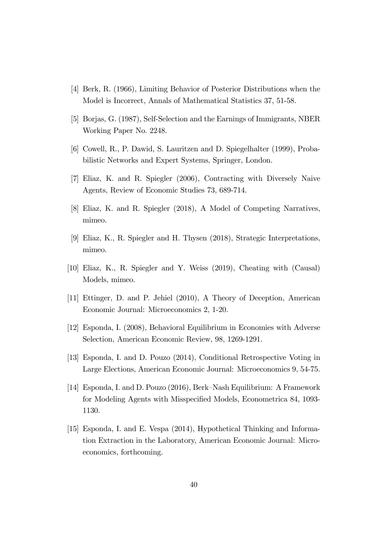- [4] Berk, R. (1966), Limiting Behavior of Posterior Distributions when the Model is Incorrect, Annals of Mathematical Statistics 37, 51-58.
- [5] Borjas, G. (1987), Self-Selection and the Earnings of Immigrants, NBER Working Paper No. 2248.
- [6] Cowell, R., P. Dawid, S. Lauritzen and D. Spiegelhalter (1999), Probabilistic Networks and Expert Systems, Springer, London.
- [7] Eliaz, K. and R. Spiegler (2006), Contracting with Diversely Naive Agents, Review of Economic Studies 73, 689-714.
- [8] Eliaz, K. and R. Spiegler (2018), A Model of Competing Narratives, mimeo.
- [9] Eliaz, K., R. Spiegler and H. Thysen (2018), Strategic Interpretations, mimeo.
- [10] Eliaz, K., R. Spiegler and Y. Weiss (2019), Cheating with (Causal) Models, mimeo.
- [11] Ettinger, D. and P. Jehiel (2010), A Theory of Deception, American Economic Journal: Microeconomics 2, 1-20.
- [12] Esponda, I. (2008), Behavioral Equilibrium in Economies with Adverse Selection, American Economic Review, 98, 1269-1291.
- [13] Esponda, I. and D. Pouzo (2014), Conditional Retrospective Voting in Large Elections, American Economic Journal: Microeconomics 9, 54-75.
- [14] Esponda, I. and D. Pouzo (2016), Berk–Nash Equilibrium: A Framework for Modeling Agents with Misspecified Models, Econometrica 84, 1093-1130.
- [15] Esponda, I. and E. Vespa (2014), Hypothetical Thinking and Information Extraction in the Laboratory, American Economic Journal: Microeconomics, forthcoming.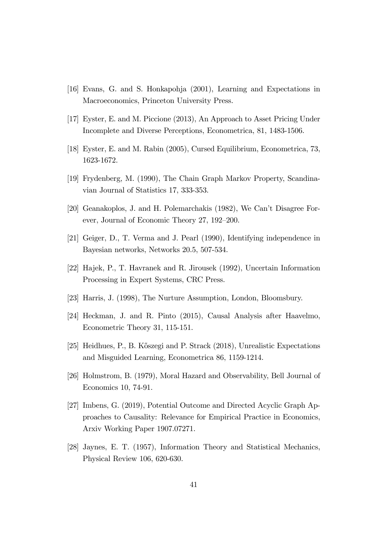- [16] Evans, G. and S. Honkapohja (2001), Learning and Expectations in Macroeconomics, Princeton University Press.
- [17] Eyster, E. and M. Piccione (2013), An Approach to Asset Pricing Under Incomplete and Diverse Perceptions, Econometrica, 81, 1483-1506.
- [18] Eyster, E. and M. Rabin (2005), Cursed Equilibrium, Econometrica, 73, 1623-1672.
- [19] Frydenberg, M. (1990), The Chain Graph Markov Property, Scandinavian Journal of Statistics 17, 333-353.
- [20] Geanakoplos, J. and H. Polemarchakis (1982), We Can't Disagree Forever, Journal of Economic Theory 27, 192–200.
- [21] Geiger, D., T. Verma and J. Pearl (1990), Identifying independence in Bayesian networks, Networks 20.5, 507-534.
- [22] Hajek, P., T. Havranek and R. Jirousek (1992), Uncertain Information Processing in Expert Systems, CRC Press.
- [23] Harris, J. (1998), The Nurture Assumption, London, Bloomsbury.
- [24] Heckman, J. and R. Pinto (2015), Causal Analysis after Haavelmo, Econometric Theory 31, 115-151.
- [25] Heidhues, P., B. Kőszegi and P. Strack (2018), Unrealistic Expectations and Misguided Learning, Econometrica 86, 1159-1214.
- [26] Holmstrom, B. (1979), Moral Hazard and Observability, Bell Journal of Economics 10, 74-91.
- [27] Imbens, G. (2019), Potential Outcome and Directed Acyclic Graph Approaches to Causality: Relevance for Empirical Practice in Economics, Arxiv Working Paper 1907.07271.
- [28] Jaynes, E. T. (1957), Information Theory and Statistical Mechanics, Physical Review 106, 620-630.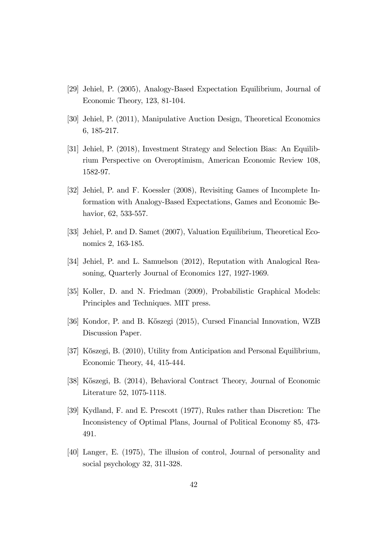- [29] Jehiel, P. (2005), Analogy-Based Expectation Equilibrium, Journal of Economic Theory, 123, 81-104.
- [30] Jehiel, P. (2011), Manipulative Auction Design, Theoretical Economics 6, 185-217.
- [31] Jehiel, P. (2018), Investment Strategy and Selection Bias: An Equilibrium Perspective on Overoptimism, American Economic Review 108, 1582-97.
- [32] Jehiel, P. and F. Koessler (2008), Revisiting Games of Incomplete Information with Analogy-Based Expectations, Games and Economic Behavior, 62, 533-557.
- [33] Jehiel, P. and D. Samet (2007), Valuation Equilibrium, Theoretical Economics 2, 163-185.
- [34] Jehiel, P. and L. Samuelson (2012), Reputation with Analogical Reasoning, Quarterly Journal of Economics 127, 1927-1969.
- [35] Koller, D. and N. Friedman (2009), Probabilistic Graphical Models: Principles and Techniques. MIT press.
- [36] Kondor, P. and B. Kőszegi (2015), Cursed Financial Innovation, WZB Discussion Paper.
- [37] Kőszegi, B. (2010), Utility from Anticipation and Personal Equilibrium, Economic Theory, 44, 415-444.
- [38] Kőszegi, B. (2014), Behavioral Contract Theory, Journal of Economic Literature 52, 1075-1118.
- [39] Kydland, F. and E. Prescott (1977), Rules rather than Discretion: The Inconsistency of Optimal Plans, Journal of Political Economy 85, 473- 491.
- [40] Langer, E. (1975), The illusion of control, Journal of personality and social psychology 32, 311-328.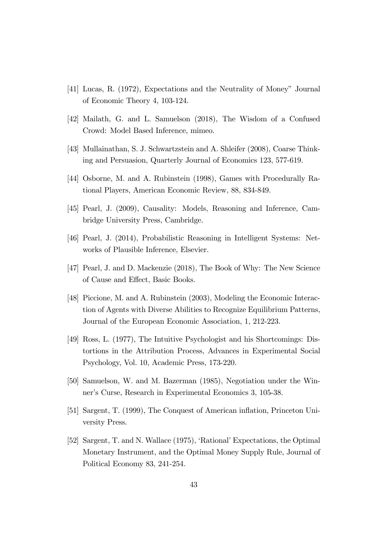- [41] Lucas, R. (1972), Expectations and the Neutrality of Moneyî Journal of Economic Theory 4, 103-124.
- [42] Mailath, G. and L. Samuelson (2018), The Wisdom of a Confused Crowd: Model Based Inference, mimeo.
- [43] Mullainathan, S. J. Schwartzstein and A. Shleifer (2008), Coarse Thinking and Persuasion, Quarterly Journal of Economics 123, 577-619.
- [44] Osborne, M. and A. Rubinstein (1998), Games with Procedurally Rational Players, American Economic Review, 88, 834-849.
- [45] Pearl, J. (2009), Causality: Models, Reasoning and Inference, Cambridge University Press, Cambridge.
- [46] Pearl, J. (2014), Probabilistic Reasoning in Intelligent Systems: Networks of Plausible Inference, Elsevier.
- [47] Pearl, J. and D. Mackenzie (2018), The Book of Why: The New Science of Cause and Effect, Basic Books.
- [48] Piccione, M. and A. Rubinstein (2003), Modeling the Economic Interaction of Agents with Diverse Abilities to Recognize Equilibrium Patterns, Journal of the European Economic Association, 1, 212-223.
- [49] Ross, L. (1977), The Intuitive Psychologist and his Shortcomings: Distortions in the Attribution Process, Advances in Experimental Social Psychology, Vol. 10, Academic Press, 173-220.
- [50] Samuelson, W. and M. Bazerman (1985), Negotiation under the Winner's Curse, Research in Experimental Economics 3, 105-38.
- [51] Sargent, T. (1999), The Conquest of American ináation, Princeton University Press.
- [52] Sargent, T. and N. Wallace (1975), 'Rational' Expectations, the Optimal Monetary Instrument, and the Optimal Money Supply Rule, Journal of Political Economy 83, 241-254.